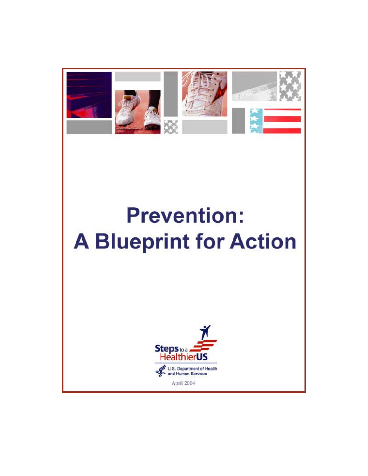

# **Prevention: A Blueprint for Action**

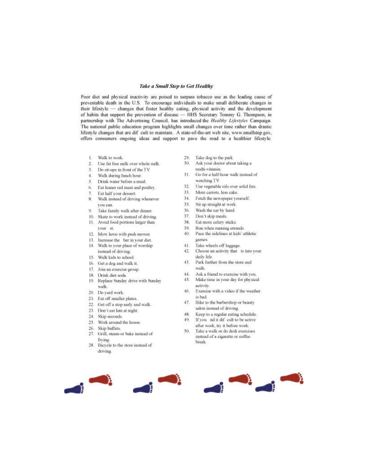#### **Take a Small Step to Get Healthy**

Poor diet and physical inactivity are poised to surpass tobacco use as the leading cause of preventable death in the U.S. To encourage individuals to make small deliberate changes in their lifestyle - changes that foster healthy eating, physical activity and the development of habits that support the prevention of disease - HHS Secretary Tommy G. Thompson, in partnership with The Advertising Council, has introduced the Healthy Lifestyles Campaign. The national public education program highlights small changes over time rather than drastic lifestyle changes that are dif cult to maintain. A state-of-the-art web site, www.smallstep.gov, offers consumers ongoing ideas and support to pave the road to a healthier lifestyle.

- 15 Walk to work.
- 2. Use fat free milk over whole milk.
- Do sit-ups in front of the TV.  $3.$
- Walk during lunch hour.  $\Lambda$
- Drink water before a meal.  $5<sup>1</sup>$
- $\kappa$ Eat leaner red meat and poultry.
- Eat half your dessert.  $7.$
- Walk instead of driving whenever 8. you can.
- $Q$ Take family walk after dinner.
- 10. Skate to work instead of driving.
- 11. Avoid food portions larger than your st.
- 12. Mow lawn with push mower.
- 13. Increase the ber in your diet.
- 14. Walk to your place of worship
- instead of driving. 15. Walk kids to school.
- 16. Get a dog and walk it.
- 17. Join an exercise group.
- 18. Drink diet soda.
- Replace Sunday drive with Sunday 19. walk.
- 20. Do yard work.
- 21. Eat off smaller plates.
- 22. Get off a stop early and walk.
- 23. Don't eat late at night.
- 24. Skip seconds.
- 25. Work around the house.
- 
- 26. Skip buffets.
- 27. Grill, steam or bake instead of frving
- 28. Bicycle to the store instead of driving.
- $20 -$ Take dog to the park.
- 30. Ask your doctor about taking a multi-vitamin.
- Go for a half-hour walk instead of 31. watching TV.
- $32.$ Use vegetable oils over solid fats.
- 33. More carrots, less cake.
- 34. Fetch the newspaper yourself.
- $35.$ Sit up straight at work.
- Wash the car by hand.  $36.$
- $37.$ Don't skip meals.
- 38. Eat more celery sticks.
- 39. Run when running errands.
- 40. Pace the sidelines at kids' athletic games.
- $41.$ Take wheels off luggage.
- $42.$ Choose an activity that ts into your daily life.
- 43. Park further from the store and walk
- 44. Ask a friend to exercise with you.
- 45. Make time in your day for physical activity.
- Exercise with a video if the weather 46. is bad.
- 47. Bike to the barbershop or beauty salon instead of driving.
- Keep to a regular eating schedule. 48.
- If you nd it dif cult to be active 49. after work, try it before work.
- 50 Take a walk or do desk exercises instead of a cigarette or coffee break

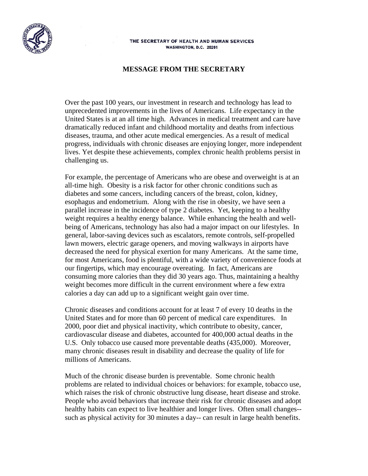

#### THE SECRETARY OF HEALTH AND HUMAN SERVICES WASHINGTON, D.C. 20201

#### **MESSAGE FROM THE SECRETARY**

Over the past 100 years, our investment in research and technology has lead to unprecedented improvements in the lives of Americans. Life expectancy in the United States is at an all time high. Advances in medical treatment and care have dramatically reduced infant and childhood mortality and deaths from infectious diseases, trauma, and other acute medical emergencies. As a result of medical progress, individuals with chronic diseases are enjoying longer, more independent lives. Yet despite these achievements, complex chronic health problems persist in challenging us.

For example, the percentage of Americans who are obese and overweight is at an all-time high. Obesity is a risk factor for other chronic conditions such as diabetes and some cancers, including cancers of the breast, colon, kidney, esophagus and endometrium. Along with the rise in obesity, we have seen a parallel increase in the incidence of type 2 diabetes. Yet, keeping to a healthy weight requires a healthy energy balance. While enhancing the health and wellbeing of Americans, technology has also had a major impact on our lifestyles. In general, labor-saving devices such as escalators, remote controls, self-propelled lawn mowers, electric garage openers, and moving walkways in airports have decreased the need for physical exertion for many Americans. At the same time, for most Americans, food is plentiful, with a wide variety of convenience foods at our fingertips, which may encourage overeating. In fact, Americans are consuming more calories than they did 30 years ago. Thus, maintaining a healthy weight becomes more difficult in the current environment where a few extra calories a day can add up to a significant weight gain over time.

Chronic diseases and conditions account for at least 7 of every 10 deaths in the United States and for more than 60 percent of medical care expenditures. In 2000, poor diet and physical inactivity, which contribute to obesity, cancer, cardiovascular disease and diabetes, accounted for 400,000 actual deaths in the U.S. Only tobacco use caused more preventable deaths (435,000). Moreover, many chronic diseases result in disability and decrease the quality of life for millions of Americans.

Much of the chronic disease burden is preventable. Some chronic health problems are related to individual choices or behaviors: for example, tobacco use, which raises the risk of chronic obstructive lung disease, heart disease and stroke. People who avoid behaviors that increase their risk for chronic diseases and adopt healthy habits can expect to live healthier and longer lives. Often small changes- such as physical activity for 30 minutes a day-- can result in large health benefits.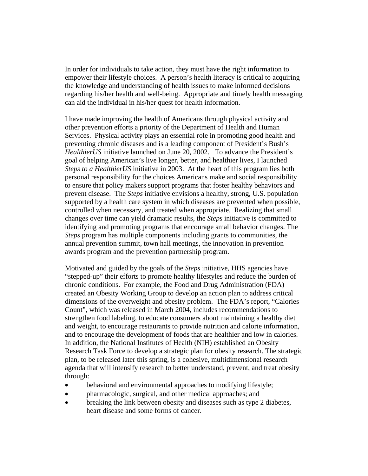In order for individuals to take action, they must have the right information to empower their lifestyle choices. A person's health literacy is critical to acquiring the knowledge and understanding of health issues to make informed decisions regarding his/her health and well-being. Appropriate and timely health messaging can aid the individual in his/her quest for health information.

I have made improving the health of Americans through physical activity and other prevention efforts a priority of the Department of Health and Human Services. Physical activity plays an essential role in promoting good health and preventing chronic diseases and is a leading component of President's Bush's *HealthierUS* initiative launched on June 20, 2002. To advance the President's goal of helping American's live longer, better, and healthier lives, I launched *Steps to a HealthierUS* initiative in 2003. At the heart of this program lies both personal responsibility for the choices Americans make and social responsibility to ensure that policy makers support programs that foster healthy behaviors and prevent disease. The *Steps* initiative envisions a healthy, strong, U.S. population supported by a health care system in which diseases are prevented when possible, controlled when necessary, and treated when appropriate. Realizing that small changes over time can yield dramatic results, the *Steps* initiative is committed to identifying and promoting programs that encourage small behavior changes. The *Steps* program has multiple components including grants to communities, the annual prevention summit, town hall meetings, the innovation in prevention awards program and the prevention partnership program.

Motivated and guided by the goals of the *Steps* initiative, HHS agencies have "stepped-up" their efforts to promote healthy lifestyles and reduce the burden of chronic conditions. For example, the Food and Drug Administration (FDA) created an Obesity Working Group to develop an action plan to address critical dimensions of the overweight and obesity problem. The FDA's report, "Calories Count", which was released in March 2004, includes recommendations to strengthen food labeling, to educate consumers about maintaining a healthy diet and weight, to encourage restaurants to provide nutrition and calorie information, and to encourage the development of foods that are healthier and low in calories. In addition, the National Institutes of Health (NIH) established an Obesity Research Task Force to develop a strategic plan for obesity research. The strategic plan, to be released later this spring, is a cohesive, multidimensional research agenda that will intensify research to better understand, prevent, and treat obesity through:

- behavioral and environmental approaches to modifying lifestyle;
- pharmacologic, surgical, and other medical approaches; and
- breaking the link between obesity and diseases such as type 2 diabetes, heart disease and some forms of cancer.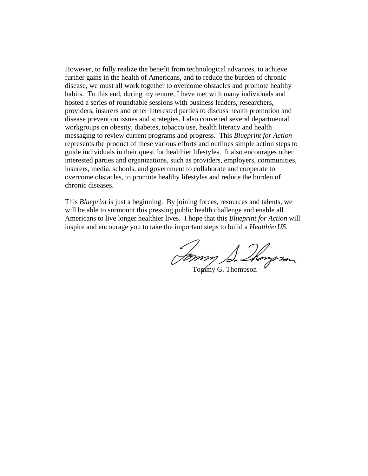However, to fully realize the benefit from technological advances, to achieve further gains in the health of Americans, and to reduce the burden of chronic disease, we must all work together to overcome obstacles and promote healthy habits. To this end, during my tenure, I have met with many individuals and hosted a series of roundtable sessions with business leaders, researchers, providers, insurers and other interested parties to discuss health promotion and disease prevention issues and strategies. I also convened several departmental workgroups on obesity, diabetes, tobacco use, health literacy and health messaging to review current programs and progress. This *Blueprint for Action* represents the product of these various efforts and outlines simple action steps to guide individuals in their quest for healthier lifestyles. It also encourages other interested parties and organizations, such as providers, employers, communities, insurers, media, schools, and government to collaborate and cooperate to overcome obstacles, to promote healthy lifestyles and reduce the burden of chronic diseases.

This *Blueprint* is just a beginning. By joining forces, resources and talents, we will be able to surmount this pressing public health challenge and enable all Americans to live longer healthier lives. I hope that this *Blueprint for Action* will inspire and encourage you to take the important steps to build a *HealthierUS*.

Jommy S. Mongron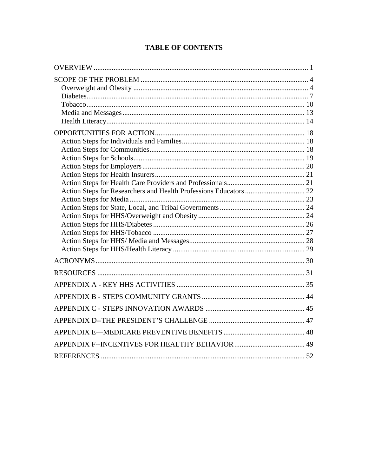# **TABLE OF CONTENTS**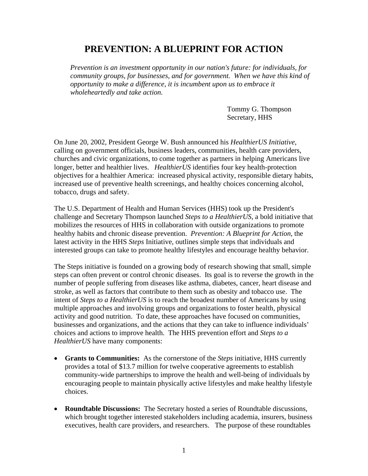# **PREVENTION: A BLUEPRINT FOR ACTION**

*Prevention is an investment opportunity in our nation's future: for individuals, for community groups, for businesses, and for government. When we have this kind of opportunity to make a difference, it is incumbent upon us to embrace it wholeheartedly and take action.* 

> Tommy G. Thompson Secretary, HHS

On June 20, 2002, President George W. Bush announced his *HealthierUS Initiative*, calling on government officials, business leaders, communities, health care providers, churches and civic organizations, to come together as partners in helping Americans live longer, better and healthier lives. *HealthierUS* identifies four key health-protection objectives for a healthier America: increased physical activity, responsible dietary habits, increased use of preventive health screenings, and healthy choices concerning alcohol, tobacco, drugs and safety.

The U.S. Department of Health and Human Services (HHS) took up the President's challenge and Secretary Thompson launched *Steps to a HealthierUS*, a bold initiative that mobilizes the resources of HHS in collaboration with outside organizations to promote healthy habits and chronic disease prevention. *Prevention: A Blueprint for Action*, the latest activity in the HHS *Steps* Initiative, outlines simple steps that individuals and interested groups can take to promote healthy lifestyles and encourage healthy behavior.

The Steps initiative is founded on a growing body of research showing that small, simple steps can often prevent or control chronic diseases. Its goal is to reverse the growth in the number of people suffering from diseases like asthma, diabetes, cancer, heart disease and stroke, as well as factors that contribute to them such as obesity and tobacco use. The intent of *Steps to a HealthierUS* is to reach the broadest number of Americans by using multiple approaches and involving groups and organizations to foster health, physical activity and good nutrition. To date, these approaches have focused on communities, businesses and organizations, and the actions that they can take to influence individuals' choices and actions to improve health. The HHS prevention effort and *Steps to a HealthierUS* have many components:

- **Grants to Communities:** As the cornerstone of the *Steps* initiative, HHS currently provides a total of \$13.7 million for twelve cooperative agreements to establish community-wide partnerships to improve the health and well-being of individuals by encouraging people to maintain physically active lifestyles and make healthy lifestyle choices.
- **Roundtable Discussions:** The Secretary hosted a series of Roundtable discussions, which brought together interested stakeholders including academia, insurers, business executives, health care providers, and researchers. The purpose of these roundtables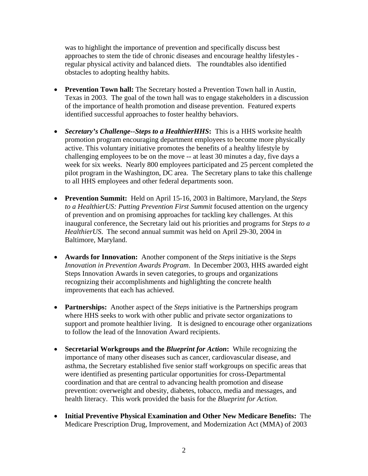was to highlight the importance of prevention and specifically discuss best approaches to stem the tide of chronic diseases and encourage healthy lifestyles regular physical activity and balanced diets. The roundtables also identified obstacles to adopting healthy habits.

- **Prevention Town hall:** The Secretary hosted a Prevention Town hall in Austin, Texas in 2003. The goal of the town hall was to engage stakeholders in a discussion of the importance of health promotion and disease prevention. Featured experts identified successful approaches to foster healthy behaviors.
- *Secretary's Challenge--Steps to a HealthierHHS***:** This is a HHS worksite health promotion program encouraging department employees to become more physically active. This voluntary initiative promotes the benefits of a healthy lifestyle by challenging employees to be on the move -- at least 30 minutes a day, five days a week for six weeks. Nearly 800 employees participated and 25 percent completed the pilot program in the Washington, DC area. The Secretary plans to take this challenge to all HHS employees and other federal departments soon.
- **Prevention Summit:** Held on April 15-16, 2003 in Baltimore, Maryland, the *Steps to a HealthierUS: Putting Prevention First Summit* focused attention on the urgency of prevention and on promising approaches for tackling key challenges. At this inaugural conference, the Secretary laid out his priorities and programs for *Steps to a HealthierUS*. The second annual summit was held on April 29-30, 2004 in Baltimore, Maryland.
- **Awards for Innovation:** Another component of the *Steps* initiative is the *Steps Innovation in Prevention Awards Program*. In December 2003, HHS awarded eight Steps Innovation Awards in seven categories, to groups and organizations recognizing their accomplishments and highlighting the concrete health improvements that each has achieved.
- **Partnerships:** Another aspect of the *Steps* initiative is the Partnerships program where HHS seeks to work with other public and private sector organizations to support and promote healthier living. It is designed to encourage other organizations to follow the lead of the Innovation Award recipients.
- **Secretarial Workgroups and the** *Blueprint for Action***:** While recognizing the importance of many other diseases such as cancer, cardiovascular disease, and asthma, the Secretary established five senior staff workgroups on specific areas that were identified as presenting particular opportunities for cross-Departmental coordination and that are central to advancing health promotion and disease prevention: overweight and obesity, diabetes, tobacco, media and messages, and health literacy. This work provided the basis for the *Blueprint for Action*.
- **Initial Preventive Physical Examination and Other New Medicare Benefits:** The Medicare Prescription Drug, Improvement, and Modernization Act (MMA) of 2003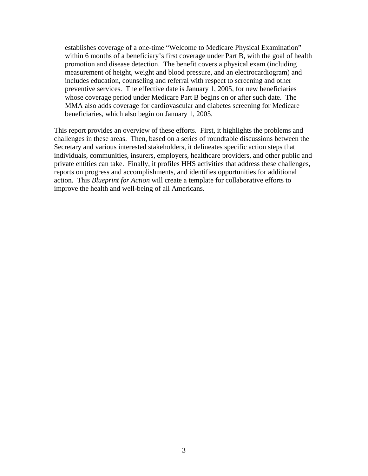establishes coverage of a one-time "Welcome to Medicare Physical Examination" within 6 months of a beneficiary's first coverage under Part B, with the goal of health promotion and disease detection. The benefit covers a physical exam (including measurement of height, weight and blood pressure, and an electrocardiogram) and includes education, counseling and referral with respect to screening and other preventive services. The effective date is January 1, 2005, for new beneficiaries whose coverage period under Medicare Part B begins on or after such date. The MMA also adds coverage for cardiovascular and diabetes screening for Medicare beneficiaries, which also begin on January 1, 2005.

This report provides an overview of these efforts. First, it highlights the problems and challenges in these areas. Then, based on a series of roundtable discussions between the Secretary and various interested stakeholders, it delineates specific action steps that individuals, communities, insurers, employers, healthcare providers, and other public and private entities can take. Finally, it profiles HHS activities that address these challenges, reports on progress and accomplishments, and identifies opportunities for additional action. This *Blueprint for Action* will create a template for collaborative efforts to improve the health and well-being of all Americans.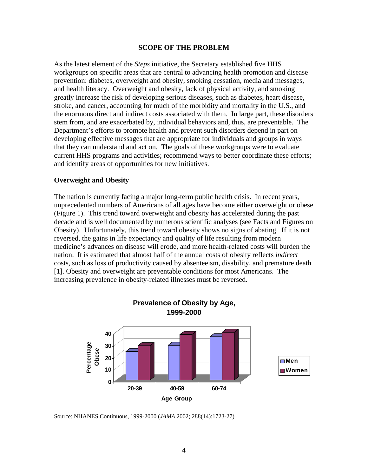#### **SCOPE OF THE PROBLEM**

As the latest element of the *Steps* initiative, the Secretary established five HHS workgroups on specific areas that are central to advancing health promotion and disease prevention: diabetes, overweight and obesity, smoking cessation, media and messages, and health literacy. Overweight and obesity, lack of physical activity, and smoking greatly increase the risk of developing serious diseases, such as diabetes, heart disease, stroke, and cancer, accounting for much of the morbidity and mortality in the U.S., and the enormous direct and indirect costs associated with them. In large part, these disorders stem from, and are exacerbated by, individual behaviors and, thus, are preventable. The Department's efforts to promote health and prevent such disorders depend in part on developing effective messages that are appropriate for individuals and groups in ways that they can understand and act on. The goals of these workgroups were to evaluate current HHS programs and activities; recommend ways to better coordinate these efforts; and identify areas of opportunities for new initiatives.

#### **Overweight and Obesity**

The nation is currently facing a major long-term public health crisis. In recent years, unprecedented numbers of Americans of all ages have become either overweight or obese (Figure 1). This trend toward overweight and obesity has accelerated during the past decade and is well documented by numerous scientific analyses (see Facts and Figures on Obesity). Unfortunately, this trend toward obesity shows no signs of abating. If it is not reversed, the gains in life expectancy and quality of life resulting from modern medicine's advances on disease will erode, and more health-related costs will burden the nation. It is estimated that almost half of the annual costs of obesity reflects *indirect* costs, such as loss of productivity caused by absenteeism, disability, and premature death [1]. Obesity and overweight are preventable conditions for most Americans. The increasing prevalence in obesity-related illnesses must be reversed.



Source: NHANES Continuous, 1999-2000 (*JAMA* 2002; 288(14):1723-27)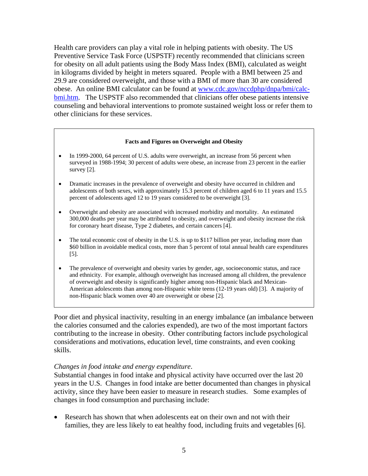Health care providers can play a vital role in helping patients with obesity. The US Preventive Service Task Force (USPSTF) recently recommended that clinicians screen for obesity on all adult patients using the Body Mass Index (BMI), calculated as weight in kilograms divided by height in meters squared. People with a BMI between 25 and 29.9 are considered overweight, and those with a BMI of more than 30 are considered obese. An online BMI calculator can be found at www.cdc.gov/nccdphp/dnpa/bmi/calcbmi.htm. The USPSTF also recommended that clinicians offer obese patients intensive counseling and behavioral interventions to promote sustained weight loss or refer them to other clinicians for these services.

#### **Facts and Figures on Overweight and Obesity**

- In 1999-2000, 64 percent of U.S. adults were overweight, an increase from 56 percent when surveyed in 1988-1994; 30 percent of adults were obese, an increase from 23 percent in the earlier survey [2].
- Dramatic increases in the prevalence of overweight and obesity have occurred in children and adolescents of both sexes, with approximately 15.3 percent of children aged 6 to 11 years and 15.5 percent of adolescents aged 12 to 19 years considered to be overweight [3].
- Overweight and obesity are associated with increased morbidity and mortality. An estimated 300,000 deaths per year may be attributed to obesity, and overweight and obesity increase the risk for coronary heart disease, Type 2 diabetes, and certain cancers [4].
- The total economic cost of obesity in the U.S. is up to \$117 billion per year, including more than \$60 billion in avoidable medical costs, more than 5 percent of total annual health care expenditures [5].
- The prevalence of overweight and obesity varies by gender, age, socioeconomic status, and race and ethnicity. For example, although overweight has increased among all children, the prevalence of overweight and obesity is significantly higher among non-Hispanic black and Mexican-American adolescents than among non-Hispanic white teens (12-19 years old) [3]. A majority of non-Hispanic black women over 40 are overweight or obese [2].

Poor diet and physical inactivity, resulting in an energy imbalance (an imbalance between the calories consumed and the calories expended), are two of the most important factors contributing to the increase in obesity. Other contributing factors include psychological considerations and motivations, education level, time constraints, and even cooking skills.

#### *Changes in food intake and energy expenditure*.

Substantial changes in food intake and physical activity have occurred over the last 20 years in the U.S. Changes in food intake are better documented than changes in physical activity, since they have been easier to measure in research studies. Some examples of changes in food consumption and purchasing include:

• Research has shown that when adolescents eat on their own and not with their families, they are less likely to eat healthy food, including fruits and vegetables [6].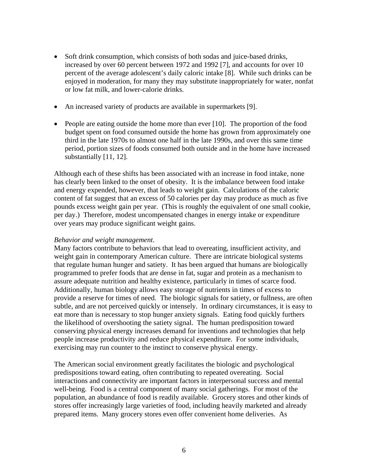- Soft drink consumption, which consists of both sodas and juice-based drinks, increased by over 60 percent between 1972 and 1992 [7], and accounts for over 10 percent of the average adolescent's daily caloric intake [8]. While such drinks can be enjoyed in moderation, for many they may substitute inappropriately for water, nonfat or low fat milk, and lower-calorie drinks.
- An increased variety of products are available in supermarkets [9].
- People are eating outside the home more than ever  $[10]$ . The proportion of the food budget spent on food consumed outside the home has grown from approximately one third in the late 1970s to almost one half in the late 1990s, and over this same time period, portion sizes of foods consumed both outside and in the home have increased substantially [11, 12].

Although each of these shifts has been associated with an increase in food intake, none has clearly been linked to the onset of obesity. It is the imbalance between food intake and energy expended, however, that leads to weight gain. Calculations of the caloric content of fat suggest that an excess of 50 calories per day may produce as much as five pounds excess weight gain per year. (This is roughly the equivalent of one small cookie, per day.) Therefore, modest uncompensated changes in energy intake or expenditure over years may produce significant weight gains.

#### *Behavior and weight management*.

Many factors contribute to behaviors that lead to overeating, insufficient activity, and weight gain in contemporary American culture. There are intricate biological systems that regulate human hunger and satiety. It has been argued that humans are biologically programmed to prefer foods that are dense in fat, sugar and protein as a mechanism to assure adequate nutrition and healthy existence, particularly in times of scarce food. Additionally, human biology allows easy storage of nutrients in times of excess to provide a reserve for times of need. The biologic signals for satiety, or fullness, are often subtle, and are not perceived quickly or intensely. In ordinary circumstances, it is easy to eat more than is necessary to stop hunger anxiety signals. Eating food quickly furthers the likelihood of overshooting the satiety signal. The human predisposition toward conserving physical energy increases demand for inventions and technologies that help people increase productivity and reduce physical expenditure. For some individuals, exercising may run counter to the instinct to conserve physical energy.

The American social environment greatly facilitates the biologic and psychological predispositions toward eating, often contributing to repeated overeating. Social interactions and connectivity are important factors in interpersonal success and mental well-being. Food is a central component of many social gatherings. For most of the population, an abundance of food is readily available. Grocery stores and other kinds of stores offer increasingly large varieties of food, including heavily marketed and already prepared items. Many grocery stores even offer convenient home deliveries. As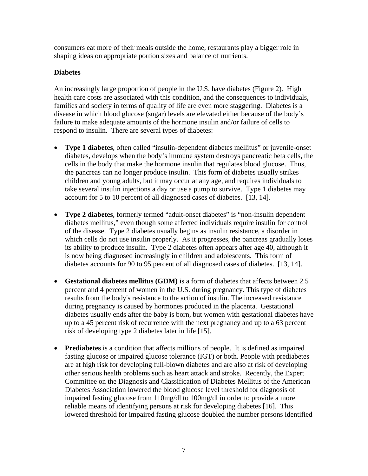consumers eat more of their meals outside the home, restaurants play a bigger role in shaping ideas on appropriate portion sizes and balance of nutrients.

## **Diabetes**

An increasingly large proportion of people in the U.S. have diabetes (Figure 2). High health care costs are associated with this condition, and the consequences to individuals, families and society in terms of quality of life are even more staggering. Diabetes is a disease in which blood glucose (sugar) levels are elevated either because of the body's failure to make adequate amounts of the hormone insulin and/or failure of cells to respond to insulin. There are several types of diabetes:

- **Type 1 diabetes**, often called "insulin-dependent diabetes mellitus" or juvenile-onset diabetes, develops when the body's immune system destroys pancreatic beta cells, the cells in the body that make the hormone insulin that regulates blood glucose. Thus, the pancreas can no longer produce insulin. This form of diabetes usually strikes children and young adults, but it may occur at any age, and requires individuals to take several insulin injections a day or use a pump to survive. Type 1 diabetes may account for 5 to 10 percent of all diagnosed cases of diabetes. [13, 14].
- **Type 2 diabetes**, formerly termed "adult-onset diabetes" is "non-insulin dependent diabetes mellitus," even though some affected individuals require insulin for control of the disease. Type 2 diabetes usually begins as insulin resistance, a disorder in which cells do not use insulin properly. As it progresses, the pancreas gradually loses its ability to produce insulin. Type 2 diabetes often appears after age 40, although it is now being diagnosed increasingly in children and adolescents. This form of diabetes accounts for 90 to 95 percent of all diagnosed cases of diabetes. [13, 14].
- **Gestational diabetes mellitus (GDM)** is a form of diabetes that affects between 2.5 percent and 4 percent of women in the U.S. during pregnancy. This type of diabetes results from the body's resistance to the action of insulin. The increased resistance during pregnancy is caused by hormones produced in the placenta. Gestational diabetes usually ends after the baby is born, but women with gestational diabetes have up to a 45 percent risk of recurrence with the next pregnancy and up to a 63 percent risk of developing type 2 diabetes later in life [15].
- **Prediabetes** is a condition that affects millions of people. It is defined as impaired fasting glucose or impaired glucose tolerance (IGT) or both. People with prediabetes are at high risk for developing full-blown diabetes and are also at risk of developing other serious health problems such as heart attack and stroke. Recently, the Expert Committee on the Diagnosis and Classification of Diabetes Mellitus of the American Diabetes Association lowered the blood glucose level threshold for diagnosis of impaired fasting glucose from 110mg/dl to 100mg/dl in order to provide a more reliable means of identifying persons at risk for developing diabetes [16]. This lowered threshold for impaired fasting glucose doubled the number persons identified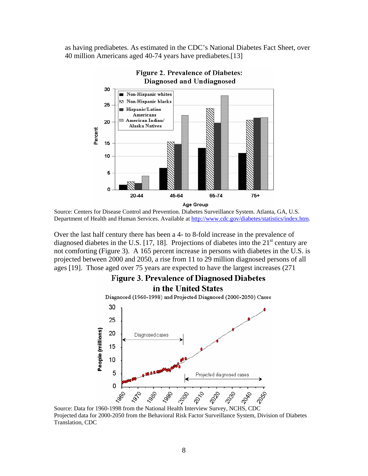as having prediabetes. As estimated in the CDC's National Diabetes Fact Sheet, over 40 million Americans aged 40-74 years have prediabetes.[13]



Source: Centers for Disease Control and Prevention. Diabetes Surveillance System. Atlanta, GA, U.S. Department of Health and Human Services. Available at http://www.cdc.gov/diabetes/statistics/index.htm.

Over the last half century there has been a 4- to 8-fold increase in the prevalence of diagnosed diabetes in the U.S. [17, 18]. Projections of diabetes into the  $21<sup>st</sup>$  century are not comforting (Figure 3). A 165 percent increase in persons with diabetes in the U.S. is projected between 2000 and 2050, a rise from 11 to 29 million diagnosed persons of all ages [19]. Those aged over 75 years are expected to have the largest increases (271



Projected data for 2000-2050 from the Behavioral Risk Factor Surveillance System, Division of Diabetes Translation, CDC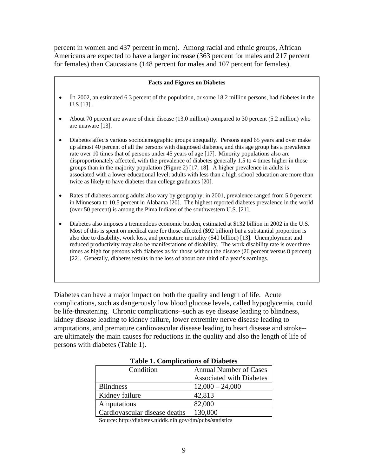percent in women and 437 percent in men). Among racial and ethnic groups, African Americans are expected to have a larger increase (363 percent for males and 217 percent for females) than Caucasians (148 percent for males and 107 percent for females).

#### **Facts and Figures on Diabetes**

- In 2002, an estimated 6.3 percent of the population, or some 18.2 million persons, had diabetes in the U.S.[13].
- About 70 percent are aware of their disease (13.0 million) compared to 30 percent (5.2 million) who are unaware [13].
- Diabetes affects various sociodemographic groups unequally. Persons aged 65 years and over make up almost 40 percent of all the persons with diagnosed diabetes, and this age group has a prevalence rate over 10 times that of persons under 45 years of age [17]. Minority populations also are disproportionately affected, with the prevalence of diabetes generally 1.5 to 4 times higher in those groups than in the majority population (Figure 2) [17, 18]. A higher prevalence in adults is associated with a lower educational level; adults with less than a high school education are more than twice as likely to have diabetes than college graduates [20].
- Rates of diabetes among adults also vary by geography; in 2001, prevalence ranged from 5.0 percent in Minnesota to 10.5 percent in Alabama [20]. The highest reported diabetes prevalence in the world (over 50 percent) is among the Pima Indians of the southwestern U.S. [21].

• Diabetes also imposes a tremendous economic burden, estimated at \$132 billion in 2002 in the U.S. Most of this is spent on medical care for those affected (\$92 billion) but a substantial proportion is also due to disability, work loss, and premature mortality (\$40 billion) [13]. Unemployment and reduced productivity may also be manifestations of disability. The work disability rate is over three times as high for persons with diabetes as for those without the disease (26 percent versus 8 percent) [22]. Generally, diabetes results in the loss of about one third of a year's earnings.

Diabetes can have a major impact on both the quality and length of life. Acute complications, such as dangerously low blood glucose levels, called hypoglycemia, could be life-threatening. Chronic complications--such as eye disease leading to blindness, kidney disease leading to kidney failure, lower extremity nerve disease leading to amputations, and premature cardiovascular disease leading to heart disease and stroke- are ultimately the main causes for reductions in the quality and also the length of life of persons with diabetes (Table 1).

| Condition                     | <b>Annual Number of Cases</b>   |
|-------------------------------|---------------------------------|
|                               | <b>Associated with Diabetes</b> |
| <b>Blindness</b>              | $12,000 - 24,000$               |
| Kidney failure                | 42,813                          |
| Amputations                   | 82,000                          |
| Cardiovascular disease deaths | 130,000                         |

|  |  | <b>Table 1. Complications of Diabetes</b> |
|--|--|-------------------------------------------|
|--|--|-------------------------------------------|

Source: http://diabetes.niddk.nih.gov/dm/pubs/statistics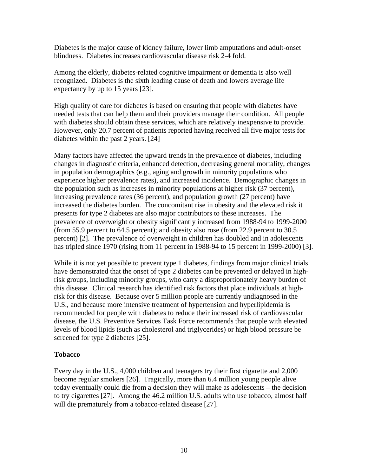Diabetes is the major cause of kidney failure, lower limb amputations and adult-onset blindness. Diabetes increases cardiovascular disease risk 2-4 fold.

Among the elderly, diabetes-related cognitive impairment or dementia is also well recognized. Diabetes is the sixth leading cause of death and lowers average life expectancy by up to 15 years [23].

High quality of care for diabetes is based on ensuring that people with diabetes have needed tests that can help them and their providers manage their condition. All people with diabetes should obtain these services, which are relatively inexpensive to provide. However, only 20.7 percent of patients reported having received all five major tests for diabetes within the past 2 years. [24]

Many factors have affected the upward trends in the prevalence of diabetes, including changes in diagnostic criteria, enhanced detection, decreasing general mortality, changes in population demographics (e.g., aging and growth in minority populations who experience higher prevalence rates), and increased incidence. Demographic changes in the population such as increases in minority populations at higher risk (37 percent), increasing prevalence rates (36 percent), and population growth (27 percent) have increased the diabetes burden. The concomitant rise in obesity and the elevated risk it presents for type 2 diabetes are also major contributors to these increases. The prevalence of overweight or obesity significantly increased from 1988-94 to 1999-2000 (from 55.9 percent to 64.5 percent); and obesity also rose (from 22.9 percent to 30.5 percent) [2]. The prevalence of overweight in children has doubled and in adolescents has tripled since 1970 (rising from 11 percent in 1988-94 to 15 percent in 1999-2000) [3].

While it is not yet possible to prevent type 1 diabetes, findings from major clinical trials have demonstrated that the onset of type 2 diabetes can be prevented or delayed in highrisk groups, including minority groups, who carry a disproportionately heavy burden of this disease. Clinical research has identified risk factors that place individuals at highrisk for this disease. Because over 5 million people are currently undiagnosed in the U.S., and because more intensive treatment of hypertension and hyperlipidemia is recommended for people with diabetes to reduce their increased risk of cardiovascular disease, the U.S. Preventive Services Task Force recommends that people with elevated levels of blood lipids (such as cholesterol and triglycerides) or high blood pressure be screened for type 2 diabetes [25].

## **Tobacco**

Every day in the U.S., 4,000 children and teenagers try their first cigarette and 2,000 become regular smokers [26]. Tragically, more than 6.4 million young people alive today eventually could die from a decision they will make as adolescents – the decision to try cigarettes [27]. Among the 46.2 million U.S. adults who use tobacco, almost half will die prematurely from a tobacco-related disease [27].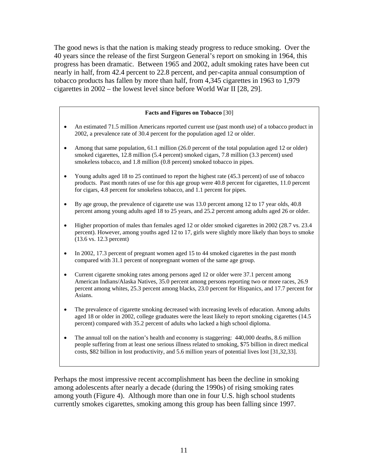The good news is that the nation is making steady progress to reduce smoking. Over the 40 years since the release of the first Surgeon General's report on smoking in 1964, this progress has been dramatic. Between 1965 and 2002, adult smoking rates have been cut nearly in half, from 42.4 percent to 22.8 percent, and per-capita annual consumption of tobacco products has fallen by more than half, from 4,345 cigarettes in 1963 to 1,979 cigarettes in 2002 – the lowest level since before World War II [28, 29].

#### **Facts and Figures on Tobacco** [30]

- An estimated 71.5 million Americans reported current use (past month use) of a tobacco product in 2002, a prevalence rate of 30.4 percent for the population aged 12 or older.
- Among that same population, 61.1 million (26.0 percent of the total population aged 12 or older) smoked cigarettes, 12.8 million (5.4 percent) smoked cigars, 7.8 million (3.3 percent) used smokeless tobacco, and 1.8 million (0.8 percent) smoked tobacco in pipes.
- Young adults aged 18 to 25 continued to report the highest rate (45.3 percent) of use of tobacco products. Past month rates of use for this age group were 40.8 percent for cigarettes, 11.0 percent for cigars, 4.8 percent for smokeless tobacco, and 1.1 percent for pipes.
- By age group, the prevalence of cigarette use was 13.0 percent among 12 to 17 year olds, 40.8 percent among young adults aged 18 to 25 years, and 25.2 percent among adults aged 26 or older.
- Higher proportion of males than females aged 12 or older smoked cigarettes in 2002 (28.7 vs. 23.4) percent). However, among youths aged 12 to 17, girls were slightly more likely than boys to smoke (13.6 vs. 12.3 percent)
- In 2002, 17.3 percent of pregnant women aged 15 to 44 smoked cigarettes in the past month compared with 31.1 percent of nonpregnant women of the same age group.
- Current cigarette smoking rates among persons aged 12 or older were 37.1 percent among American Indians/Alaska Natives, 35.0 percent among persons reporting two or more races, 26.9 percent among whites, 25.3 percent among blacks, 23.0 percent for Hispanics, and 17.7 percent for Asians.
- The prevalence of cigarette smoking decreased with increasing levels of education. Among adults aged 18 or older in 2002, college graduates were the least likely to report smoking cigarettes (14.5 percent) compared with 35.2 percent of adults who lacked a high school diploma.
- The annual toll on the nation's health and economy is staggering: 440,000 deaths, 8.6 million people suffering from at least one serious illness related to smoking, \$75 billion in direct medical costs, \$82 billion in lost productivity, and 5.6 million years of potential lives lost [31,32,33].

Perhaps the most impressive recent accomplishment has been the decline in smoking among adolescents after nearly a decade (during the 1990s) of rising smoking rates among youth (Figure 4). Although more than one in four U.S. high school students currently smokes cigarettes, smoking among this group has been falling since 1997.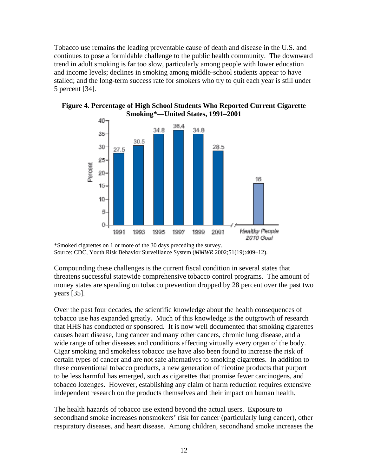Tobacco use remains the leading preventable cause of death and disease in the U.S. and continues to pose a formidable challenge to the public health community. The downward trend in adult smoking is far too slow, particularly among people with lower education and income levels; declines in smoking among middle-school students appear to have stalled; and the long-term success rate for smokers who try to quit each year is still under 5 percent [34].



#### **Figure 4. Percentage of High School Students Who Reported Current Cigarette Smoking\*—United States, 1991–2001**

Compounding these challenges is the current fiscal condition in several states that threatens successful statewide comprehensive tobacco control programs. The amount of money states are spending on tobacco prevention dropped by 28 percent over the past two years [35].

Over the past four decades, the scientific knowledge about the health consequences of tobacco use has expanded greatly. Much of this knowledge is the outgrowth of research that HHS has conducted or sponsored. It is now well documented that smoking cigarettes causes heart disease, lung cancer and many other cancers, chronic lung disease, and a wide range of other diseases and conditions affecting virtually every organ of the body. Cigar smoking and smokeless tobacco use have also been found to increase the risk of certain types of cancer and are not safe alternatives to smoking cigarettes. In addition to these conventional tobacco products, a new generation of nicotine products that purport to be less harmful has emerged, such as cigarettes that promise fewer carcinogens, and tobacco lozenges. However, establishing any claim of harm reduction requires extensive independent research on the products themselves and their impact on human health.

The health hazards of tobacco use extend beyond the actual users. Exposure to secondhand smoke increases nonsmokers' risk for cancer (particularly lung cancer), other respiratory diseases, and heart disease. Among children, secondhand smoke increases the

<sup>\*</sup>Smoked cigarettes on 1 or more of the 30 days preceding the survey. Source: CDC, Youth Risk Behavior Surveillance System (*MMWR* 2002;51(19):409–12).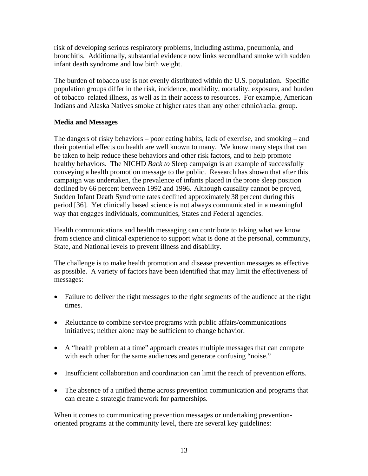risk of developing serious respiratory problems, including asthma, pneumonia, and bronchitis. Additionally, substantial evidence now links secondhand smoke with sudden infant death syndrome and low birth weight.

The burden of tobacco use is not evenly distributed within the U.S. population. Specific population groups differ in the risk, incidence, morbidity, mortality, exposure, and burden of tobacco–related illness, as well as in their access to resources. For example, American Indians and Alaska Natives smoke at higher rates than any other ethnic/racial group.

## **Media and Messages**

The dangers of risky behaviors – poor eating habits, lack of exercise, and smoking – and their potential effects on health are well known to many. We know many steps that can be taken to help reduce these behaviors and other risk factors, and to help promote healthy behaviors. The NICHD *Back to* Sleep campaign is an example of successfully conveying a health promotion message to the public. Research has shown that after this campaign was undertaken, the prevalence of infants placed in the prone sleep position declined by 66 percent between 1992 and 1996. Although causality cannot be proved, Sudden Infant Death Syndrome rates declined approximately 38 percent during this period [36]. Yet clinically based science is not always communicated in a meaningful way that engages individuals, communities, States and Federal agencies.

Health communications and health messaging can contribute to taking what we know from science and clinical experience to support what is done at the personal, community, State, and National levels to prevent illness and disability.

The challenge is to make health promotion and disease prevention messages as effective as possible. A variety of factors have been identified that may limit the effectiveness of messages:

- Failure to deliver the right messages to the right segments of the audience at the right times.
- Reluctance to combine service programs with public affairs/communications initiatives; neither alone may be sufficient to change behavior.
- A "health problem at a time" approach creates multiple messages that can compete with each other for the same audiences and generate confusing "noise."
- Insufficient collaboration and coordination can limit the reach of prevention efforts.
- The absence of a unified theme across prevention communication and programs that can create a strategic framework for partnerships.

When it comes to communicating prevention messages or undertaking preventionoriented programs at the community level, there are several key guidelines: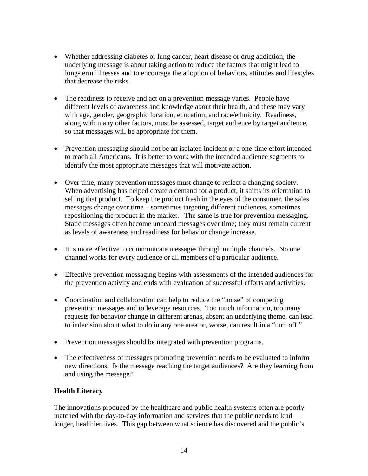- Whether addressing diabetes or lung cancer, heart disease or drug addiction, the underlying message is about taking action to reduce the factors that might lead to long-term illnesses and to encourage the adoption of behaviors, attitudes and lifestyles that decrease the risks.
- The readiness to receive and act on a prevention message varies. People have different levels of awareness and knowledge about their health, and these may vary with age, gender, geographic location, education, and race/ethnicity. Readiness, along with many other factors, must be assessed, target audience by target audience, so that messages will be appropriate for them.
- Prevention messaging should not be an isolated incident or a one-time effort intended to reach all Americans. It is better to work with the intended audience segments to identify the most appropriate messages that will motivate action.
- Over time, many prevention messages must change to reflect a changing society. When advertising has helped create a demand for a product, it shifts its orientation to selling that product. To keep the product fresh in the eyes of the consumer, the sales messages change over time – sometimes targeting different audiences, sometimes repositioning the product in the market. The same is true for prevention messaging. Static messages often become unheard messages over time; they must remain current as levels of awareness and readiness for behavior change increase.
- It is more effective to communicate messages through multiple channels. No one channel works for every audience or all members of a particular audience.
- Effective prevention messaging begins with assessments of the intended audiences for the prevention activity and ends with evaluation of successful efforts and activities.
- Coordination and collaboration can help to reduce the "noise" of competing prevention messages and to leverage resources. Too much information, too many requests for behavior change in different arenas, absent an underlying theme, can lead to indecision about what to do in any one area or, worse, can result in a "turn off."
- Prevention messages should be integrated with prevention programs.
- The effectiveness of messages promoting prevention needs to be evaluated to inform new directions. Is the message reaching the target audiences? Are they learning from and using the message?

## **Health Literacy**

The innovations produced by the healthcare and public health systems often are poorly matched with the day-to-day information and services that the public needs to lead longer, healthier lives. This gap between what science has discovered and the public's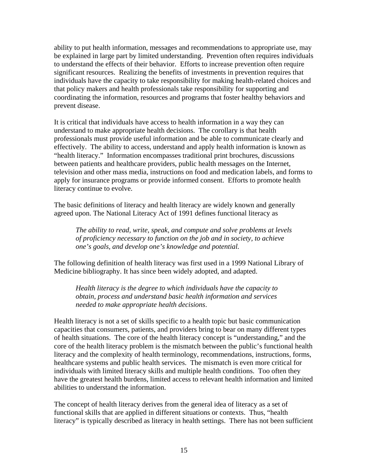ability to put health information, messages and recommendations to appropriate use, may be explained in large part by limited understanding. Prevention often requires individuals to understand the effects of their behavior. Efforts to increase prevention often require significant resources. Realizing the benefits of investments in prevention requires that individuals have the capacity to take responsibility for making health-related choices and that policy makers and health professionals take responsibility for supporting and coordinating the information, resources and programs that foster healthy behaviors and prevent disease.

It is critical that individuals have access to health information in a way they can understand to make appropriate health decisions. The corollary is that health professionals must provide useful information and be able to communicate clearly and effectively. The ability to access, understand and apply health information is known as "health literacy." Information encompasses traditional print brochures, discussions between patients and healthcare providers, public health messages on the Internet, television and other mass media, instructions on food and medication labels, and forms to apply for insurance programs or provide informed consent. Efforts to promote health literacy continue to evolve.

The basic definitions of literacy and health literacy are widely known and generally agreed upon. The National Literacy Act of 1991 defines functional literacy as

*The ability to read, write, speak, and compute and solve problems at levels of proficiency necessary to function on the job and in society, to achieve one's goals, and develop one's knowledge and potential.* 

The following definition of health literacy was first used in a 1999 National Library of Medicine bibliography. It has since been widely adopted, and adapted.

*Health literacy is the degree to which individuals have the capacity to obtain, process and understand basic health information and services needed to make appropriate health decisions*.

Health literacy is not a set of skills specific to a health topic but basic communication capacities that consumers, patients, and providers bring to bear on many different types of health situations. The core of the health literacy concept is "understanding," and the core of the health literacy problem is the mismatch between the public's functional health literacy and the complexity of health terminology, recommendations, instructions, forms, healthcare systems and public health services. The mismatch is even more critical for individuals with limited literacy skills and multiple health conditions. Too often they have the greatest health burdens, limited access to relevant health information and limited abilities to understand the information.

The concept of health literacy derives from the general idea of literacy as a set of functional skills that are applied in different situations or contexts. Thus, "health literacy" is typically described as literacy in health settings. There has not been sufficient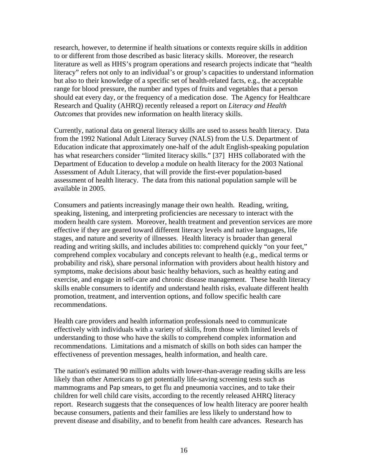research, however, to determine if health situations or contexts require skills in addition to or different from those described as basic literacy skills. Moreover, the research literature as well as HHS's program operations and research projects indicate that "health literacy" refers not only to an individual's or group's capacities to understand information but also to their knowledge of a specific set of health-related facts, e.g., the acceptable range for blood pressure, the number and types of fruits and vegetables that a person should eat every day, or the frequency of a medication dose. The Agency for Healthcare Research and Quality (AHRQ) recently released a report on *Literacy and Health Outcomes* that provides new information on health literacy skills.

Currently, national data on general literacy skills are used to assess health literacy. Data from the 1992 National Adult Literacy Survey (NALS) from the U.S. Department of Education indicate that approximately one-half of the adult English-speaking population has what researchers consider "limited literacy skills." [37] HHS collaborated with the Department of Education to develop a module on health literacy for the 2003 National Assessment of Adult Literacy, that will provide the first-ever population-based assessment of health literacy. The data from this national population sample will be available in 2005.

Consumers and patients increasingly manage their own health. Reading, writing, speaking, listening, and interpreting proficiencies are necessary to interact with the modern health care system. Moreover, health treatment and prevention services are more effective if they are geared toward different literacy levels and native languages, life stages, and nature and severity of illnesses. Health literacy is broader than general reading and writing skills, and includes abilities to: comprehend quickly "on your feet," comprehend complex vocabulary and concepts relevant to health (e.g., medical terms or probability and risk), share personal information with providers about health history and symptoms, make decisions about basic healthy behaviors, such as healthy eating and exercise, and engage in self-care and chronic disease management. These health literacy skills enable consumers to identify and understand health risks, evaluate different health promotion, treatment, and intervention options, and follow specific health care recommendations.

Health care providers and health information professionals need to communicate effectively with individuals with a variety of skills, from those with limited levels of understanding to those who have the skills to comprehend complex information and recommendations. Limitations and a mismatch of skills on both sides can hamper the effectiveness of prevention messages, health information, and health care.

The nation's estimated 90 million adults with lower-than-average reading skills are less likely than other Americans to get potentially life-saving screening tests such as mammograms and Pap smears, to get flu and pneumonia vaccines, and to take their children for well child care visits, according to the recently released AHRQ literacy report. Research suggests that the consequences of low health literacy are poorer health because consumers, patients and their families are less likely to understand how to prevent disease and disability, and to benefit from health care advances. Research has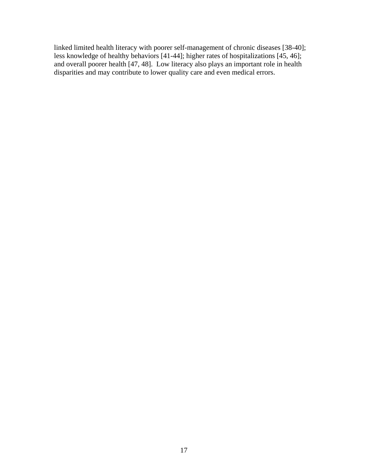linked limited health literacy with poorer self-management of chronic diseases [38-40]; less knowledge of healthy behaviors [41-44]; higher rates of hospitalizations [45, 46]; and overall poorer health [47, 48]. Low literacy also plays an important role in health disparities and may contribute to lower quality care and even medical errors.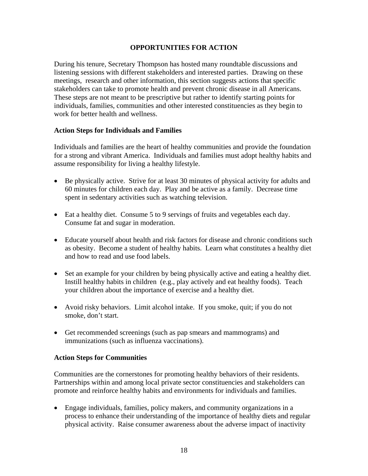#### **OPPORTUNITIES FOR ACTION**

During his tenure, Secretary Thompson has hosted many roundtable discussions and listening sessions with different stakeholders and interested parties. Drawing on these meetings, research and other information, this section suggests actions that specific stakeholders can take to promote health and prevent chronic disease in all Americans. These steps are not meant to be prescriptive but rather to identify starting points for individuals, families, communities and other interested constituencies as they begin to work for better health and wellness.

#### **Action Steps for Individuals and Families**

Individuals and families are the heart of healthy communities and provide the foundation for a strong and vibrant America. Individuals and families must adopt healthy habits and assume responsibility for living a healthy lifestyle.

- Be physically active. Strive for at least 30 minutes of physical activity for adults and 60 minutes for children each day. Play and be active as a family. Decrease time spent in sedentary activities such as watching television.
- Eat a healthy diet. Consume 5 to 9 servings of fruits and vegetables each day. Consume fat and sugar in moderation.
- Educate yourself about health and risk factors for disease and chronic conditions such as obesity. Become a student of healthy habits. Learn what constitutes a healthy diet and how to read and use food labels.
- Set an example for your children by being physically active and eating a healthy diet. Instill healthy habits in children (e.g., play actively and eat healthy foods). Teach your children about the importance of exercise and a healthy diet.
- Avoid risky behaviors. Limit alcohol intake. If you smoke, quit; if you do not smoke, don't start.
- Get recommended screenings (such as pap smears and mammograms) and immunizations (such as influenza vaccinations).

#### **Action Steps for Communities**

Communities are the cornerstones for promoting healthy behaviors of their residents. Partnerships within and among local private sector constituencies and stakeholders can promote and reinforce healthy habits and environments for individuals and families.

• Engage individuals, families, policy makers, and community organizations in a process to enhance their understanding of the importance of healthy diets and regular physical activity. Raise consumer awareness about the adverse impact of inactivity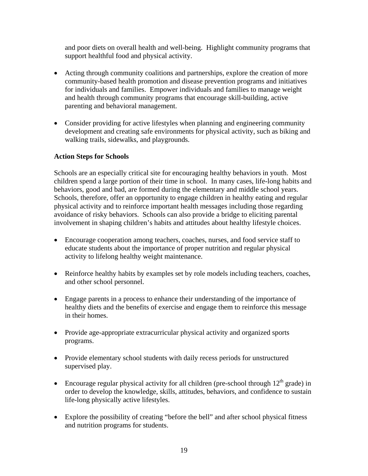and poor diets on overall health and well-being. Highlight community programs that support healthful food and physical activity.

- Acting through community coalitions and partnerships, explore the creation of more community-based health promotion and disease prevention programs and initiatives for individuals and families. Empower individuals and families to manage weight and health through community programs that encourage skill-building, active parenting and behavioral management.
- Consider providing for active lifestyles when planning and engineering community development and creating safe environments for physical activity, such as biking and walking trails, sidewalks, and playgrounds.

## **Action Steps for Schools**

Schools are an especially critical site for encouraging healthy behaviors in youth. Most children spend a large portion of their time in school. In many cases, life-long habits and behaviors, good and bad, are formed during the elementary and middle school years. Schools, therefore, offer an opportunity to engage children in healthy eating and regular physical activity and to reinforce important health messages including those regarding avoidance of risky behaviors. Schools can also provide a bridge to eliciting parental involvement in shaping children's habits and attitudes about healthy lifestyle choices.

- Encourage cooperation among teachers, coaches, nurses, and food service staff to educate students about the importance of proper nutrition and regular physical activity to lifelong healthy weight maintenance.
- Reinforce healthy habits by examples set by role models including teachers, coaches, and other school personnel.
- Engage parents in a process to enhance their understanding of the importance of healthy diets and the benefits of exercise and engage them to reinforce this message in their homes.
- Provide age-appropriate extracurricular physical activity and organized sports programs.
- Provide elementary school students with daily recess periods for unstructured supervised play.
- Encourage regular physical activity for all children (pre-school through  $12<sup>th</sup>$  grade) in order to develop the knowledge, skills, attitudes, behaviors, and confidence to sustain life-long physically active lifestyles.
- Explore the possibility of creating "before the bell" and after school physical fitness and nutrition programs for students.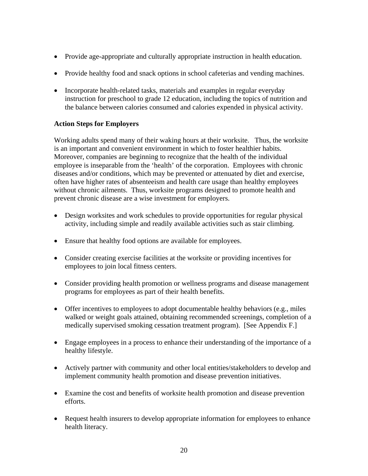- Provide age-appropriate and culturally appropriate instruction in health education.
- Provide healthy food and snack options in school cafeterias and vending machines.
- Incorporate health-related tasks, materials and examples in regular everyday instruction for preschool to grade 12 education, including the topics of nutrition and the balance between calories consumed and calories expended in physical activity.

## **Action Steps for Employers**

Working adults spend many of their waking hours at their worksite. Thus, the worksite is an important and convenient environment in which to foster healthier habits. Moreover, companies are beginning to recognize that the health of the individual employee is inseparable from the 'health' of the corporation. Employees with chronic diseases and/or conditions, which may be prevented or attenuated by diet and exercise, often have higher rates of absenteeism and health care usage than healthy employees without chronic ailments. Thus, worksite programs designed to promote health and prevent chronic disease are a wise investment for employers.

- Design worksites and work schedules to provide opportunities for regular physical activity, including simple and readily available activities such as stair climbing.
- Ensure that healthy food options are available for employees.
- Consider creating exercise facilities at the worksite or providing incentives for employees to join local fitness centers.
- Consider providing health promotion or wellness programs and disease management programs for employees as part of their health benefits.
- Offer incentives to employees to adopt documentable healthy behaviors (e.g., miles walked or weight goals attained, obtaining recommended screenings, completion of a medically supervised smoking cessation treatment program). [See Appendix F.]
- Engage employees in a process to enhance their understanding of the importance of a healthy lifestyle.
- Actively partner with community and other local entities/stakeholders to develop and implement community health promotion and disease prevention initiatives.
- Examine the cost and benefits of worksite health promotion and disease prevention efforts.
- Request health insurers to develop appropriate information for employees to enhance health literacy.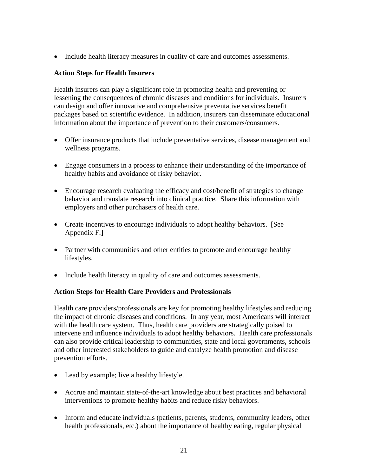• Include health literacy measures in quality of care and outcomes assessments.

## **Action Steps for Health Insurers**

Health insurers can play a significant role in promoting health and preventing or lessening the consequences of chronic diseases and conditions for individuals. Insurers can design and offer innovative and comprehensive preventative services benefit packages based on scientific evidence. In addition, insurers can disseminate educational information about the importance of prevention to their customers/consumers.

- Offer insurance products that include preventative services, disease management and wellness programs.
- Engage consumers in a process to enhance their understanding of the importance of healthy habits and avoidance of risky behavior.
- Encourage research evaluating the efficacy and cost/benefit of strategies to change behavior and translate research into clinical practice. Share this information with employers and other purchasers of health care.
- Create incentives to encourage individuals to adopt healthy behaviors. [See Appendix F.]
- Partner with communities and other entities to promote and encourage healthy lifestyles.
- Include health literacy in quality of care and outcomes assessments.

## **Action Steps for Health Care Providers and Professionals**

Health care providers/professionals are key for promoting healthy lifestyles and reducing the impact of chronic diseases and conditions. In any year, most Americans will interact with the health care system. Thus, health care providers are strategically poised to intervene and influence individuals to adopt healthy behaviors. Health care professionals can also provide critical leadership to communities, state and local governments, schools and other interested stakeholders to guide and catalyze health promotion and disease prevention efforts.

- Lead by example; live a healthy lifestyle.
- Accrue and maintain state-of-the-art knowledge about best practices and behavioral interventions to promote healthy habits and reduce risky behaviors.
- Inform and educate individuals (patients, parents, students, community leaders, other health professionals, etc.) about the importance of healthy eating, regular physical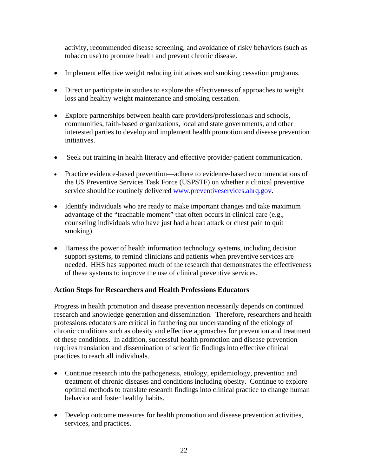activity, recommended disease screening, and avoidance of risky behaviors (such as tobacco use) to promote health and prevent chronic disease.

- Implement effective weight reducing initiatives and smoking cessation programs.
- Direct or participate in studies to explore the effectiveness of approaches to weight loss and healthy weight maintenance and smoking cessation.
- Explore partnerships between health care providers/professionals and schools, communities, faith-based organizations, local and state governments, and other interested parties to develop and implement health promotion and disease prevention initiatives.
- Seek out training in health literacy and effective provider-patient communication.
- Practice evidence-based prevention—adhere to evidence-based recommendations of the US Preventive Services Task Force (USPSTF) on whether a clinical preventive service should be routinely delivered www.preventiveservices.ahrq.gov**.**
- Identify individuals who are ready to make important changes and take maximum advantage of the "teachable moment" that often occurs in clinical care (e.g., counseling individuals who have just had a heart attack or chest pain to quit smoking).
- Harness the power of health information technology systems, including decision support systems, to remind clinicians and patients when preventive services are needed. HHS has supported much of the research that demonstrates the effectiveness of these systems to improve the use of clinical preventive services.

## **Action Steps for Researchers and Health Professions Educators**

Progress in health promotion and disease prevention necessarily depends on continued research and knowledge generation and dissemination. Therefore, researchers and health professions educators are critical in furthering our understanding of the etiology of chronic conditions such as obesity and effective approaches for prevention and treatment of these conditions. In addition, successful health promotion and disease prevention requires translation and dissemination of scientific findings into effective clinical practices to reach all individuals.

- Continue research into the pathogenesis, etiology, epidemiology, prevention and treatment of chronic diseases and conditions including obesity. Continue to explore optimal methods to translate research findings into clinical practice to change human behavior and foster healthy habits.
- Develop outcome measures for health promotion and disease prevention activities, services, and practices.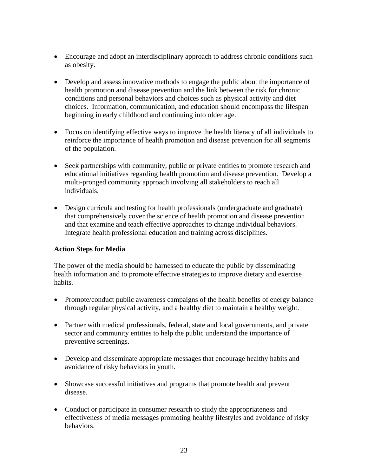- Encourage and adopt an interdisciplinary approach to address chronic conditions such as obesity.
- Develop and assess innovative methods to engage the public about the importance of health promotion and disease prevention and the link between the risk for chronic conditions and personal behaviors and choices such as physical activity and diet choices. Information, communication, and education should encompass the lifespan beginning in early childhood and continuing into older age.
- Focus on identifying effective ways to improve the health literacy of all individuals to reinforce the importance of health promotion and disease prevention for all segments of the population.
- Seek partnerships with community, public or private entities to promote research and educational initiatives regarding health promotion and disease prevention. Develop a multi-pronged community approach involving all stakeholders to reach all individuals.
- Design curricula and testing for health professionals (undergraduate and graduate) that comprehensively cover the science of health promotion and disease prevention and that examine and teach effective approaches to change individual behaviors. Integrate health professional education and training across disciplines.

## **Action Steps for Media**

The power of the media should be harnessed to educate the public by disseminating health information and to promote effective strategies to improve dietary and exercise habits.

- Promote/conduct public awareness campaigns of the health benefits of energy balance through regular physical activity, and a healthy diet to maintain a healthy weight.
- Partner with medical professionals, federal, state and local governments, and private sector and community entities to help the public understand the importance of preventive screenings.
- Develop and disseminate appropriate messages that encourage healthy habits and avoidance of risky behaviors in youth.
- Showcase successful initiatives and programs that promote health and prevent disease.
- Conduct or participate in consumer research to study the appropriateness and effectiveness of media messages promoting healthy lifestyles and avoidance of risky behaviors.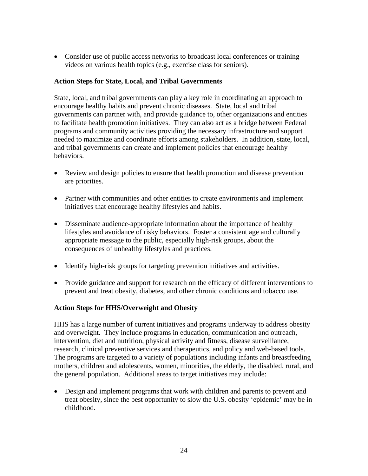• Consider use of public access networks to broadcast local conferences or training videos on various health topics (e.g., exercise class for seniors).

#### **Action Steps for State, Local, and Tribal Governments**

State, local, and tribal governments can play a key role in coordinating an approach to encourage healthy habits and prevent chronic diseases. State, local and tribal governments can partner with, and provide guidance to, other organizations and entities to facilitate health promotion initiatives. They can also act as a bridge between Federal programs and community activities providing the necessary infrastructure and support needed to maximize and coordinate efforts among stakeholders. In addition, state, local, and tribal governments can create and implement policies that encourage healthy behaviors.

- Review and design policies to ensure that health promotion and disease prevention are priorities.
- Partner with communities and other entities to create environments and implement initiatives that encourage healthy lifestyles and habits.
- Disseminate audience-appropriate information about the importance of healthy lifestyles and avoidance of risky behaviors. Foster a consistent age and culturally appropriate message to the public, especially high-risk groups, about the consequences of unhealthy lifestyles and practices.
- Identify high-risk groups for targeting prevention initiatives and activities.
- Provide guidance and support for research on the efficacy of different interventions to prevent and treat obesity, diabetes, and other chronic conditions and tobacco use.

## **Action Steps for HHS/Overweight and Obesity**

HHS has a large number of current initiatives and programs underway to address obesity and overweight. They include programs in education, communication and outreach, intervention, diet and nutrition, physical activity and fitness, disease surveillance, research, clinical preventive services and therapeutics, and policy and web-based tools. The programs are targeted to a variety of populations including infants and breastfeeding mothers, children and adolescents, women, minorities, the elderly, the disabled, rural, and the general population. Additional areas to target initiatives may include:

• Design and implement programs that work with children and parents to prevent and treat obesity, since the best opportunity to slow the U.S. obesity 'epidemic' may be in childhood.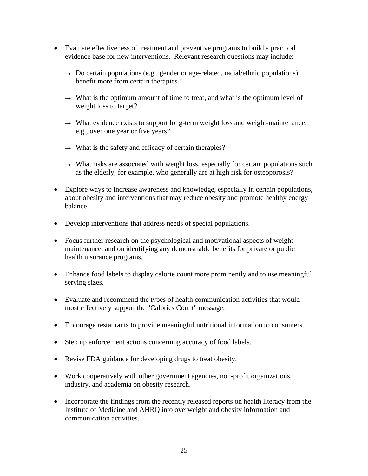- Evaluate effectiveness of treatment and preventive programs to build a practical evidence base for new interventions.Relevant research questions may include:
	- $\rightarrow$  Do certain populations (e.g., gender or age-related, racial/ethnic populations) benefit more from certain therapies?
	- $\rightarrow$  What is the optimum amount of time to treat, and what is the optimum level of weight loss to target?
	- $\rightarrow$  What evidence exists to support long-term weight loss and weight-maintenance, e.g., over one year or five years?
	- $\rightarrow$  What is the safety and efficacy of certain therapies?
	- $\rightarrow$  What risks are associated with weight loss, especially for certain populations such as the elderly, for example, who generally are at high risk for osteoporosis?
- Explore ways to increase awareness and knowledge, especially in certain populations, about obesity and interventions that may reduce obesity and promote healthy energy balance.
- Develop interventions that address needs of special populations.
- Focus further research on the psychological and motivational aspects of weight maintenance, and on identifying any demonstrable benefits for private or public health insurance programs.
- Enhance food labels to display calorie count more prominently and to use meaningful serving sizes.
- Evaluate and recommend the types of health communication activities that would most effectively support the "Calories Count" message.
- Encourage restaurants to provide meaningful nutritional information to consumers.
- Step up enforcement actions concerning accuracy of food labels.
- Revise FDA guidance for developing drugs to treat obesity.
- Work cooperatively with other government agencies, non-profit organizations, industry, and academia on obesity research.
- Incorporate the findings from the recently released reports on health literacy from the Institute of Medicine and AHRQ into overweight and obesity information and communication activities.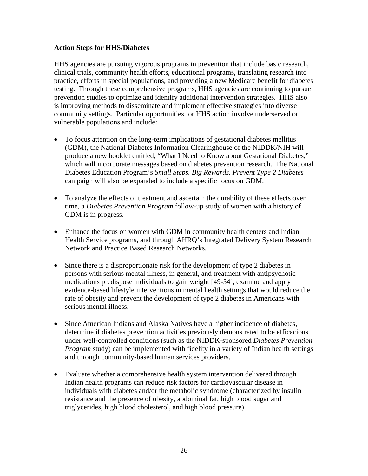#### **Action Steps for HHS/Diabetes**

HHS agencies are pursuing vigorous programs in prevention that include basic research, clinical trials, community health efforts, educational programs, translating research into practice, efforts in special populations, and providing a new Medicare benefit for diabetes testing. Through these comprehensive programs, HHS agencies are continuing to pursue prevention studies to optimize and identify additional intervention strategies. HHS also is improving methods to disseminate and implement effective strategies into diverse community settings. Particular opportunities for HHS action involve underserved or vulnerable populations and include:

- To focus attention on the long-term implications of gestational diabetes mellitus (GDM), the National Diabetes Information Clearinghouse of the NIDDK/NIH will produce a new booklet entitled, "What I Need to Know about Gestational Diabetes," which will incorporate messages based on diabetes prevention research. The National Diabetes Education Program's *Small Steps. Big Rewards. Prevent Type 2 Diabetes* campaign will also be expanded to include a specific focus on GDM.
- To analyze the effects of treatment and ascertain the durability of these effects over time, a *Diabetes Prevention Program* follow-up study of women with a history of GDM is in progress.
- Enhance the focus on women with GDM in community health centers and Indian Health Service programs, and through AHRQ's Integrated Delivery System Research Network and Practice Based Research Networks.
- Since there is a disproportionate risk for the development of type 2 diabetes in persons with serious mental illness, in general, and treatment with antipsychotic medications predispose individuals to gain weight [49-54], examine and apply evidence-based lifestyle interventions in mental health settings that would reduce the rate of obesity and prevent the development of type 2 diabetes in Americans with serious mental illness.
- Since American Indians and Alaska Natives have a higher incidence of diabetes, determine if diabetes prevention activities previously demonstrated to be efficacious under well-controlled conditions (such as the NIDDK-sponsored *Diabetes Prevention Program* study) can be implemented with fidelity in a variety of Indian health settings and through community-based human services providers.
- Evaluate whether a comprehensive health system intervention delivered through Indian health programs can reduce risk factors for cardiovascular disease in individuals with diabetes and/or the metabolic syndrome (characterized by insulin resistance and the presence of obesity, abdominal fat, high blood sugar and triglycerides, high blood cholesterol, and high blood pressure).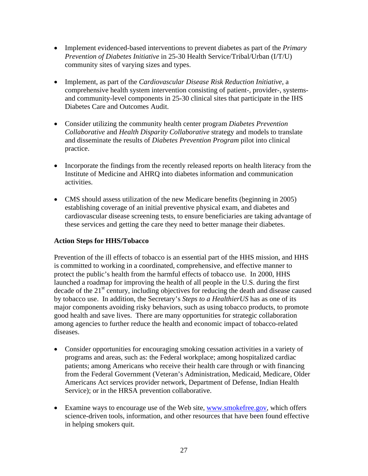- Implement evidenced-based interventions to prevent diabetes as part of the *Primary Prevention of Diabetes Initiative* in 25-30 Health Service/Tribal/Urban (I/T/U) community sites of varying sizes and types.
- Implement, as part of the *Cardiovascular Disease Risk Reduction Initiative*, a comprehensive health system intervention consisting of patient-, provider-, systemsand community-level components in 25-30 clinical sites that participate in the IHS Diabetes Care and Outcomes Audit.
- Consider utilizing the community health center program *Diabetes Prevention Collaborative* and *Health Disparity Collaborative* strategy and models to translate and disseminate the results of *Diabetes Prevention Program* pilot into clinical practice.
- Incorporate the findings from the recently released reports on health literacy from the Institute of Medicine and AHRQ into diabetes information and communication activities.
- CMS should assess utilization of the new Medicare benefits (beginning in 2005) establishing coverage of an initial preventive physical exam, and diabetes and cardiovascular disease screening tests, to ensure beneficiaries are taking advantage of these services and getting the care they need to better manage their diabetes.

## **Action Steps for HHS/Tobacco**

Prevention of the ill effects of tobacco is an essential part of the HHS mission, and HHS is committed to working in a coordinated, comprehensive, and effective manner to protect the public's health from the harmful effects of tobacco use. In 2000, HHS launched a roadmap for improving the health of all people in the U.S. during the first decade of the  $21<sup>st</sup>$  century, including objectives for reducing the death and disease caused by tobacco use. In addition, the Secretary's *Steps to a HealthierUS* has as one of its major components avoiding risky behaviors, such as using tobacco products, to promote good health and save lives. There are many opportunities for strategic collaboration among agencies to further reduce the health and economic impact of tobacco-related diseases.

- Consider opportunities for encouraging smoking cessation activities in a variety of programs and areas, such as: the Federal workplace; among hospitalized cardiac patients; among Americans who receive their health care through or with financing from the Federal Government (Veteran's Administration, Medicaid, Medicare, Older Americans Act services provider network, Department of Defense, Indian Health Service); or in the HRSA prevention collaborative.
- Examine ways to encourage use of the Web site, www.smokefree.gov, which offers science-driven tools, information, and other resources that have been found effective in helping smokers quit.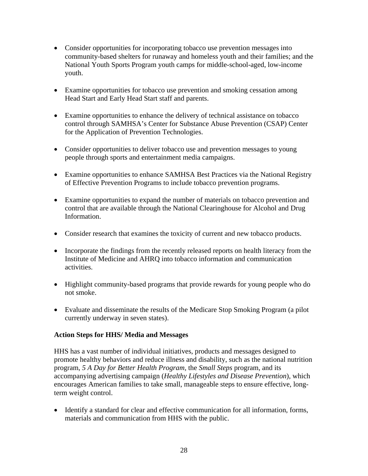- Consider opportunities for incorporating tobacco use prevention messages into community-based shelters for runaway and homeless youth and their families; and the National Youth Sports Program youth camps for middle-school-aged, low-income youth.
- Examine opportunities for tobacco use prevention and smoking cessation among Head Start and Early Head Start staff and parents.
- Examine opportunities to enhance the delivery of technical assistance on tobacco control through SAMHSA's Center for Substance Abuse Prevention (CSAP) Center for the Application of Prevention Technologies.
- Consider opportunities to deliver tobacco use and prevention messages to young people through sports and entertainment media campaigns.
- Examine opportunities to enhance SAMHSA Best Practices via the National Registry of Effective Prevention Programs to include tobacco prevention programs.
- Examine opportunities to expand the number of materials on tobacco prevention and control that are available through the National Clearinghouse for Alcohol and Drug Information.
- Consider research that examines the toxicity of current and new tobacco products.
- Incorporate the findings from the recently released reports on health literacy from the Institute of Medicine and AHRQ into tobacco information and communication activities.
- Highlight community-based programs that provide rewards for young people who do not smoke.
- Evaluate and disseminate the results of the Medicare Stop Smoking Program (a pilot currently underway in seven states).

## **Action Steps for HHS/ Media and Messages**

HHS has a vast number of individual initiatives, products and messages designed to promote healthy behaviors and reduce illness and disability, such as the national nutrition program, *5 A Day for Better Health Program,* the *Small Steps* program, and its accompanying advertising campaign (*Healthy Lifestyles and Disease Prevention*), which encourages American families to take small, manageable steps to ensure effective, longterm weight control.

• Identify a standard for clear and effective communication for all information, forms, materials and communication from HHS with the public.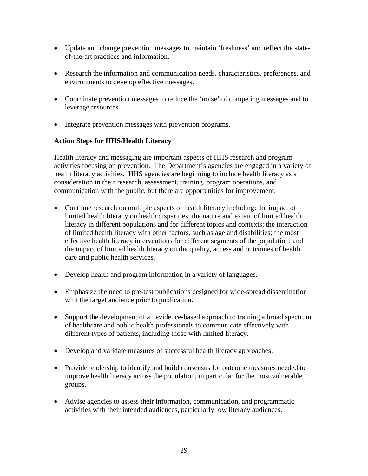- Update and change prevention messages to maintain 'freshness' and reflect the stateof-the-art practices and information.
- Research the information and communication needs, characteristics, preferences, and environments to develop effective messages.
- Coordinate prevention messages to reduce the 'noise' of competing messages and to leverage resources.
- Integrate prevention messages with prevention programs.

## **Action Steps for HHS/Health Literacy**

Health literacy and messaging are important aspects of HHS research and program activities focusing on prevention. The Department's agencies are engaged in a variety of health literacy activities. HHS agencies are beginning to include health literacy as a consideration in their research, assessment, training, program operations, and communication with the public, but there are opportunities for improvement.

- Continue research on multiple aspects of health literacy including: the impact of limited health literacy on health disparities; the nature and extent of limited health literacy in different populations and for different topics and contexts; the interaction of limited health literacy with other factors, such as age and disabilities; the most effective health literacy interventions for different segments of the population; and the impact of limited health literacy on the quality, access and outcomes of health care and public health services.
- Develop health and program information in a variety of languages.
- Emphasize the need to pre-test publications designed for wide-spread dissemination with the target audience prior to publication.
- Support the development of an evidence-based approach to training a broad spectrum of healthcare and public health professionals to communicate effectively with different types of patients, including those with limited literacy.
- Develop and validate measures of successful health literacy approaches.
- Provide leadership to identify and build consensus for outcome measures needed to improve health literacy across the population, in particular for the most vulnerable groups.
- Advise agencies to assess their information, communication, and programmatic activities with their intended audiences, particularly low literacy audiences.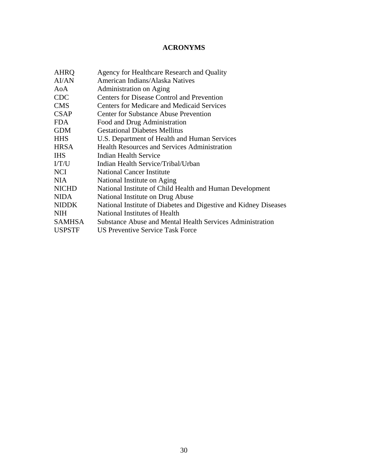## **ACRONYMS**

| <b>AHRQ</b>   | Agency for Healthcare Research and Quality                       |
|---------------|------------------------------------------------------------------|
| <b>AI/AN</b>  | American Indians/Alaska Natives                                  |
| AoA           | <b>Administration on Aging</b>                                   |
| <b>CDC</b>    | Centers for Disease Control and Prevention                       |
| <b>CMS</b>    | <b>Centers for Medicare and Medicaid Services</b>                |
| <b>CSAP</b>   | <b>Center for Substance Abuse Prevention</b>                     |
| <b>FDA</b>    | Food and Drug Administration                                     |
| <b>GDM</b>    | <b>Gestational Diabetes Mellitus</b>                             |
| <b>HHS</b>    | U.S. Department of Health and Human Services                     |
| <b>HRSA</b>   | <b>Health Resources and Services Administration</b>              |
| <b>IHS</b>    | Indian Health Service                                            |
| I/T/U         | Indian Health Service/Tribal/Urban                               |
| <b>NCI</b>    | <b>National Cancer Institute</b>                                 |
| <b>NIA</b>    | National Institute on Aging                                      |
| <b>NICHD</b>  | National Institute of Child Health and Human Development         |
| <b>NIDA</b>   | National Institute on Drug Abuse                                 |
| <b>NIDDK</b>  | National Institute of Diabetes and Digestive and Kidney Diseases |
| NIH.          | National Institutes of Health                                    |
| <b>SAMHSA</b> | <b>Substance Abuse and Mental Health Services Administration</b> |
| <b>USPSTF</b> | <b>US Preventive Service Task Force</b>                          |
|               |                                                                  |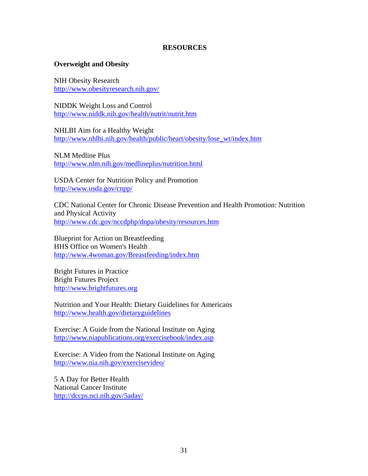#### **RESOURCES**

#### **Overweight and Obesity**

NIH Obesity Research http://www.obesityresearch.nih.gov/

NIDDK Weight Loss and Control http://www.niddk.nih.gov/health/nutrit/nutrit.htm

NHLBI Aim for a Healthy Weight http://www.nhlbi.nih.gov/health/public/heart/obesity/lose\_wt/index.htm

NLM Medline Plus http://www.nlm.nih.gov/medlineplus/nutrition.html

USDA Center for Nutrition Policy and Promotion http://www.usda.gov/cnpp/

CDC National Center for Chronic Disease Prevention and Health Promotion: Nutrition and Physical Activity http://www.cdc.gov/nccdphp/dnpa/obesity/resources.htm

Blueprint for Action on Breastfeeding HHS Office on Women's Health http://www.4woman.gov/Breastfeeding/index.htm

Bright Futures in Practice Bright Futures Project http://www.brightfutures.org

Nutrition and Your Health: Dietary Guidelines for Americans http://www.health.gov/dietaryguidelines

Exercise: A Guide from the National Institute on Aging http://www.niapublications.org/exercisebook/index.asp

Exercise: A Video from the National Institute on Aging http://www.nia.nih.gov/exercisevideo/

5 A Day for Better Health National Cancer Institute http://dccps.nci.nih.gov/5aday/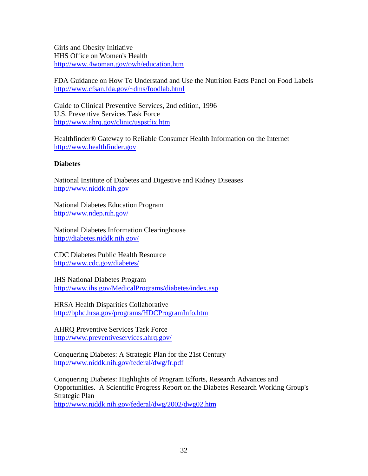Girls and Obesity Initiative HHS Office on Women's Health http://www.4woman.gov/owh/education.htm

FDA Guidance on How To Understand and Use the Nutrition Facts Panel on Food Labels http://www.cfsan.fda.gov/~dms/foodlab.html

Guide to Clinical Preventive Services, 2nd edition, 1996 U.S. Preventive Services Task Force http://www.ahrq.gov/clinic/uspstfix.htm

Healthfinder® Gateway to Reliable Consumer Health Information on the Internet http://www.healthfinder.gov

#### **Diabetes**

National Institute of Diabetes and Digestive and Kidney Diseases http://www.niddk.nih.gov

National Diabetes Education Program http://www.ndep.nih.gov/

National Diabetes Information Clearinghouse http://diabetes.niddk.nih.gov/

CDC Diabetes Public Health Resource http://www.cdc.gov/diabetes/

IHS National Diabetes Program http://www.ihs.gov/MedicalPrograms/diabetes/index.asp

HRSA Health Disparities Collaborative http://bphc.hrsa.gov/programs/HDCProgramInfo.htm

AHRQ Preventive Services Task Force http://www.preventiveservices.ahrq.gov/

Conquering Diabetes: A Strategic Plan for the 21st Century http://www.niddk.nih.gov/federal/dwg/fr.pdf

Conquering Diabetes: Highlights of Program Efforts, Research Advances and Opportunities. A Scientific Progress Report on the Diabetes Research Working Group's Strategic Plan http://www.niddk.nih.gov/federal/dwg/2002/dwg02.htm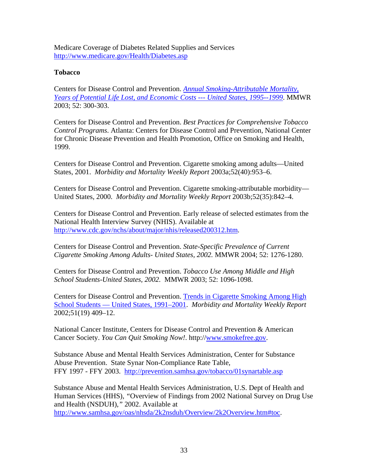Medicare Coverage of Diabetes Related Supplies and Services http://www.medicare.gov/Health/Diabetes.asp

#### **Tobacco**

Centers for Disease Control and Prevention. *Annual Smoking-Attributable Mortality, Years of Potential Life Lost, and Economic Costs --- United States, 1995--1999*. MMWR 2003; 52: 300-303.

Centers for Disease Control and Prevention. *Best Practices for Comprehensive Tobacco Control Programs*. Atlanta: Centers for Disease Control and Prevention, National Center for Chronic Disease Prevention and Health Promotion, Office on Smoking and Health, 1999.

Centers for Disease Control and Prevention. Cigarette smoking among adults—United States, 2001. *Morbidity and Mortality Weekly Report* 2003a;52(40):953–6.

Centers for Disease Control and Prevention. Cigarette smoking-attributable morbidity— United States, 2000. *Morbidity and Mortality Weekly Report* 2003b;52(35):842–4.

Centers for Disease Control and Prevention. Early release of selected estimates from the National Health Interview Survey (NHIS). Available at http://www.cdc.gov/nchs/about/major/nhis/released200312.htm.

Centers for Disease Control and Prevention. *State-Specific Prevalence of Current Cigarette Smoking Among Adults- United States, 2002.* MMWR 2004; 52: 1276-1280.

Centers for Disease Control and Prevention. *Tobacco Use Among Middle and High School Students-United States, 2002.* MMWR 2003; 52: 1096-1098.

Centers for Disease Control and Prevention. Trends in Cigarette Smoking Among High School Students — United States, 1991–2001. *Morbidity and Mortality Weekly Report* 2002;51(19) 409–12.

National Cancer Institute, Centers for Disease Control and Prevention & American Cancer Society. *You Can Quit Smoking Now!*. http://www.smokefree.gov.

Substance Abuse and Mental Health Services Administration, Center for Substance Abuse Prevention. State Synar Non-Compliance Rate Table, FFY 1997 - FFY 2003. http://prevention.samhsa.gov/tobacco/01synartable.asp

Substance Abuse and Mental Health Services Administration, U.S. Dept of Health and Human Services (HHS), *"*Overview of Findings from 2002 National Survey on Drug Use and Health (NSDUH),*"* 2002. Available at

http://www.samhsa.gov/oas/nhsda/2k2nsduh/Overview/2k2Overview.htm#toc.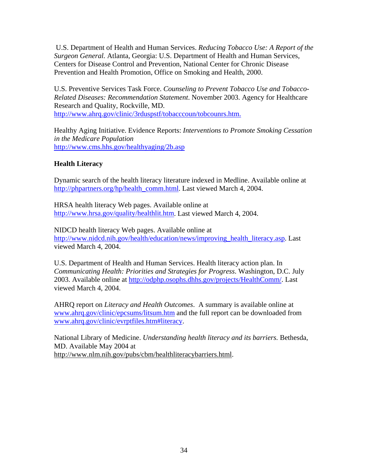U.S. Department of Health and Human Services. *Reducing Tobacco Use: A Report of the Surgeon General.* Atlanta, Georgia: U.S. Department of Health and Human Services, Centers for Disease Control and Prevention, National Center for Chronic Disease Prevention and Health Promotion, Office on Smoking and Health, 2000.

U.S. Preventive Services Task Force. *Counseling to Prevent Tobacco Use and Tobacco-Related Diseases: Recommendation Statement*. November 2003. Agency for Healthcare Research and Quality, Rockville, MD. http://www.ahrq.gov/clinic/3rduspstf/tobacccoun/tobcounrs.htm.

Healthy Aging Initiative. Evidence Reports: *Interventions to Promote Smoking Cessation in the Medicare Population* http://www.cms.hhs.gov/healthyaging/2b.asp

## **Health Literacy**

Dynamic search of the health literacy literature indexed in Medline. Available online at http://phpartners.org/hp/health\_comm.html. Last viewed March 4, 2004.

HRSA health literacy Web pages. Available online at http://www.hrsa.gov/quality/healthlit.htm. Last viewed March 4, 2004.

NIDCD health literacy Web pages. Available online at http://www.nidcd.nih.gov/health/education/news/improving\_health\_literacy.asp. Last viewed March 4, 2004.

U.S. Department of Health and Human Services. Health literacy action plan. In *Communicating Health: Priorities and Strategies for Progress*. Washington, D.C. July 2003. Available online at http://odphp.osophs.dhhs.gov/projects/HealthComm/. Last viewed March 4, 2004.

AHRQ report on *Literacy and Health Outcomes*. A summary is available online at www.ahrq.gov/clinic/epcsums/litsum.htm and the full report can be downloaded from www.ahrq.gov/clinic/evrptfiles.htm#literacy.

National Library of Medicine. *Understanding health literacy and its barriers.* Bethesda, MD. Available May 2004 at http://www.nlm.nih.gov/pubs/cbm/healthliteracybarriers.html.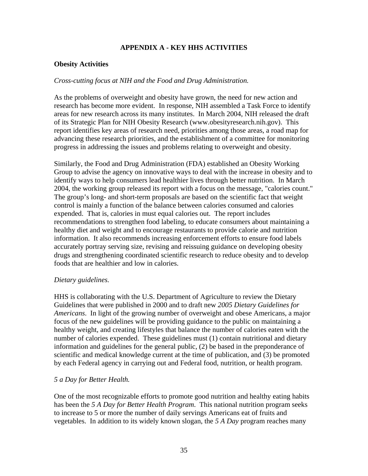## **APPENDIX A - KEY HHS ACTIVITIES**

## **Obesity Activities**

#### *Cross-cutting focus at NIH and the Food and Drug Administration.*

As the problems of overweight and obesity have grown, the need for new action and research has become more evident. In response, NIH assembled a Task Force to identify areas for new research across its many institutes. In March 2004, NIH released the draft of its Strategic Plan for NIH Obesity Research (www.obesityresearch.nih.gov). This report identifies key areas of research need, priorities among those areas, a road map for advancing these research priorities, and the establishment of a committee for monitoring progress in addressing the issues and problems relating to overweight and obesity.

Similarly, the Food and Drug Administration (FDA) established an Obesity Working Group to advise the agency on innovative ways to deal with the increase in obesity and to identify ways to help consumers lead healthier lives through better nutrition. In March 2004, the working group released its report with a focus on the message, "calories count." The group's long- and short-term proposals are based on the scientific fact that weight control is mainly a function of the balance between calories consumed and calories expended. That is, calories in must equal calories out. The report includes recommendations to strengthen food labeling, to educate consumers about maintaining a healthy diet and weight and to encourage restaurants to provide calorie and nutrition information. It also recommends increasing enforcement efforts to ensure food labels accurately portray serving size, revising and reissuing guidance on developing obesity drugs and strengthening coordinated scientific research to reduce obesity and to develop foods that are healthier and low in calories.

#### *Dietary guidelines.*

HHS is collaborating with the U.S. Department of Agriculture to review the Dietary Guidelines that were published in 2000 and to draft new *2005 Dietary Guidelines for Americans*. In light of the growing number of overweight and obese Americans, a major focus of the new guidelines will be providing guidance to the public on maintaining a healthy weight, and creating lifestyles that balance the number of calories eaten with the number of calories expended. These guidelines must (1) contain nutritional and dietary information and guidelines for the general public, (2) be based in the preponderance of scientific and medical knowledge current at the time of publication, and (3) be promoted by each Federal agency in carrying out and Federal food, nutrition, or health program.

## *5 a Day for Better Health.*

One of the most recognizable efforts to promote good nutrition and healthy eating habits has been the *5 A Day for Better Health Program*. This national nutrition program seeks to increase to 5 or more the number of daily servings Americans eat of fruits and vegetables. In addition to its widely known slogan, the *5 A Day* program reaches many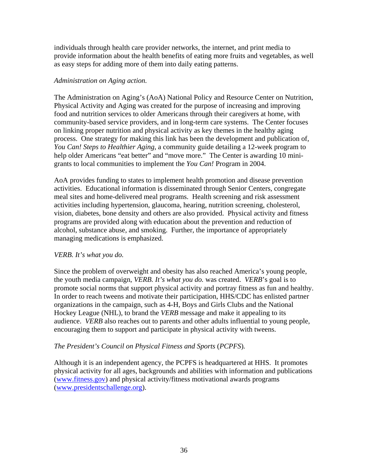individuals through health care provider networks, the internet, and print media to provide information about the health benefits of eating more fruits and vegetables, as well as easy steps for adding more of them into daily eating patterns.

#### *Administration on Aging action.*

The Administration on Aging's (AoA) National Policy and Resource Center on Nutrition, Physical Activity and Aging was created for the purpose of increasing and improving food and nutrition services to older Americans through their caregivers at home, with community-based service providers, and in long-term care systems. The Center focuses on linking proper nutrition and physical activity as key themes in the healthy aging process. One strategy for making this link has been the development and publication of, *You Can! Steps to Healthier Aging*, a community guide detailing a 12-week program to help older Americans "eat better" and "move more." The Center is awarding 10 minigrants to local communities to implement the *You Can!* Program in 2004.

AoA provides funding to states to implement health promotion and disease prevention activities. Educational information is disseminated through Senior Centers, congregate meal sites and home-delivered meal programs. Health screening and risk assessment activities including hypertension, glaucoma, hearing, nutrition screening, cholesterol, vision, diabetes, bone density and others are also provided. Physical activity and fitness programs are provided along with education about the prevention and reduction of alcohol, substance abuse, and smoking. Further, the importance of appropriately managing medications is emphasized.

#### *VERB. It's what you do.*

Since the problem of overweight and obesity has also reached America's young people, the youth media campaign, *VERB. It's what you do.* was created. *VERB*'s goal is to promote social norms that support physical activity and portray fitness as fun and healthy. In order to reach tweens and motivate their participation, HHS/CDC has enlisted partner organizations in the campaign, such as 4-H, Boys and Girls Clubs and the National Hockey League (NHL), to brand the *VERB* message and make it appealing to its audience. *VERB* also reaches out to parents and other adults influential to young people, encouraging them to support and participate in physical activity with tweens.

## *The President's Council on Physical Fitness and Sports* (*PCPFS*)*.*

Although it is an independent agency, the PCPFS is headquartered at HHS. It promotes physical activity for all ages, backgrounds and abilities with information and publications (www.fitness.gov) and physical activity/fitness motivational awards programs (www.presidentschallenge.org).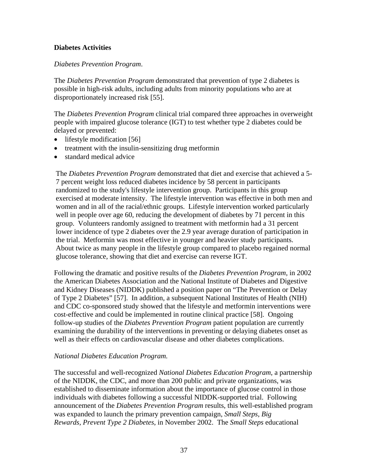#### **Diabetes Activities**

#### *Diabetes Prevention Program*.

The *Diabetes Prevention Program* demonstrated that prevention of type 2 diabetes is possible in high-risk adults, including adults from minority populations who are at disproportionately increased risk [55].

The *Diabetes Prevention Program* clinical trial compared three approaches in overweight people with impaired glucose tolerance (IGT) to test whether type 2 diabetes could be delayed or prevented:

- lifestyle modification [56]
- treatment with the insulin-sensitizing drug metformin
- standard medical advice

The *Diabetes Prevention Program* demonstrated that diet and exercise that achieved a 5- 7 percent weight loss reduced diabetes incidence by 58 percent in participants randomized to the study's lifestyle intervention group. Participants in this group exercised at moderate intensity. The lifestyle intervention was effective in both men and women and in all of the racial/ethnic groups. Lifestyle intervention worked particularly well in people over age 60, reducing the development of diabetes by 71 percent in this group. Volunteers randomly assigned to treatment with metformin had a 31 percent lower incidence of type 2 diabetes over the 2.9 year average duration of participation in the trial. Metformin was most effective in younger and heavier study participants. About twice as many people in the lifestyle group compared to placebo regained normal glucose tolerance, showing that diet and exercise can reverse IGT.

Following the dramatic and positive results of the *Diabetes Prevention Program*, in 2002 the American Diabetes Association and the National Institute of Diabetes and Digestive and Kidney Diseases (NIDDK) published a position paper on "The Prevention or Delay of Type 2 Diabetes" [57]. In addition, a subsequent National Institutes of Health (NIH) and CDC co-sponsored study showed that the lifestyle and metformin interventions were cost-effective and could be implemented in routine clinical practice [58]. Ongoing follow-up studies of the *Diabetes Prevention Program* patient population are currently examining the durability of the interventions in preventing or delaying diabetes onset as well as their effects on cardiovascular disease and other diabetes complications.

#### *National Diabetes Education Program.*

The successful and well-recognized *National Diabetes Education Program*, a partnership of the NIDDK, the CDC, and more than 200 public and private organizations, was established to disseminate information about the importance of glucose control in those individuals with diabetes following a successful NIDDK-supported trial. Following announcement of the *Diabetes Prevention Program* results, this well-established program was expanded to launch the primary prevention campaign, *Small Steps, Big Rewards, Prevent Type 2 Diabetes*, in November 2002. The *Small Steps* educational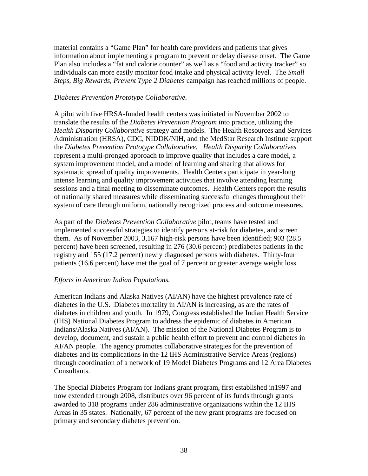material contains a "Game Plan" for health care providers and patients that gives information about implementing a program to prevent or delay disease onset. The Game Plan also includes a "fat and calorie counter" as well as a "food and activity tracker" so individuals can more easily monitor food intake and physical activity level. The *Small Steps, Big Rewards, Prevent Type 2 Diabetes* campaign has reached millions of people.

#### *Diabetes Prevention Prototype Collaborative.*

A pilot with five HRSA-funded health centers was initiated in November 2002 to translate the results of the *Diabetes Prevention Program* into practice, utilizing the *Health Disparity Collaborative* strategy and models. The Health Resources and Services Administration (HRSA), CDC, NIDDK/NIH, and the MedStar Research Institute support the *Diabetes Prevention Prototype Collaborative. Health Disparity Collaboratives* represent a multi-pronged approach to improve quality that includes a care model, a system improvement model, and a model of learning and sharing that allows for systematic spread of quality improvements. Health Centers participate in year-long intense learning and quality improvement activities that involve attending learning sessions and a final meeting to disseminate outcomes. Health Centers report the results of nationally shared measures while disseminating successful changes throughout their system of care through uniform, nationally recognized process and outcome measures.

As part of the *Diabetes Prevention Collaborative* pilot, teams have tested and implemented successful strategies to identify persons at-risk for diabetes, and screen them. As of November 2003, 3,167 high-risk persons have been identified; 903 (28.5 percent) have been screened, resulting in 276 (30.6 percent) prediabetes patients in the registry and 155 (17.2 percent) newly diagnosed persons with diabetes. Thirty-four patients (16.6 percent) have met the goal of 7 percent or greater average weight loss.

## *Efforts in American Indian Populations.*

American Indians and Alaska Natives (AI/AN) have the highest prevalence rate of diabetes in the U.S. Diabetes mortality in AI/AN is increasing, as are the rates of diabetes in children and youth. In 1979, Congress established the Indian Health Service (IHS) National Diabetes Program to address the epidemic of diabetes in American Indians/Alaska Natives (AI/AN). The mission of the National Diabetes Program is to develop, document, and sustain a public health effort to prevent and control diabetes in AI/AN people. The agency promotes collaborative strategies for the prevention of diabetes and its complications in the 12 IHS Administrative Service Areas (regions) through coordination of a network of 19 Model Diabetes Programs and 12 Area Diabetes Consultants.

The Special Diabetes Program for Indians grant program, first established in1997 and now extended through 2008, distributes over 96 percent of its funds through grants awarded to 318 programs under 286 administrative organizations within the 12 IHS Areas in 35 states. Nationally, 67 percent of the new grant programs are focused on primary and secondary diabetes prevention.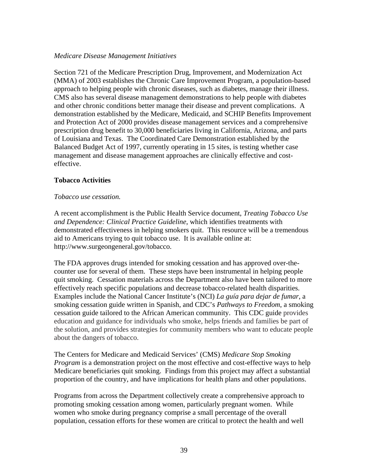#### *Medicare Disease Management Initiatives*

Section 721 of the Medicare Prescription Drug, Improvement, and Modernization Act (MMA) of 2003 establishes the Chronic Care Improvement Program, a population-based approach to helping people with chronic diseases, such as diabetes, manage their illness. CMS also has several disease management demonstrations to help people with diabetes and other chronic conditions better manage their disease and prevent complications. A demonstration established by the Medicare, Medicaid, and SCHIP Benefits Improvement and Protection Act of 2000 provides disease management services and a comprehensive prescription drug benefit to 30,000 beneficiaries living in California, Arizona, and parts of Louisiana and Texas. The Coordinated Care Demonstration established by the Balanced Budget Act of 1997, currently operating in 15 sites, is testing whether case management and disease management approaches are clinically effective and costeffective.

## **Tobacco Activities**

#### *Tobacco use cessation.*

A recent accomplishment is the Public Health Service document, *Treating Tobacco Use and Dependence: Clinical Practice Guideline*, which identifies treatments with demonstrated effectiveness in helping smokers quit. This resource will be a tremendous aid to Americans trying to quit tobacco use. It is available online at: http://www.surgeongeneral.gov/tobacco.

The FDA approves drugs intended for smoking cessation and has approved over-thecounter use for several of them. These steps have been instrumental in helping people quit smoking. Cessation materials across the Department also have been tailored to more effectively reach specific populations and decrease tobacco-related health disparities. Examples include the National Cancer Institute's (NCI) *La guía para dejar de fumar*, a smoking cessation guide written in Spanish, and CDC's *Pathways to Freedom*, a smoking cessation guide tailored to the African American community. This CDC guide provides education and guidance for individuals who smoke, helps friends and families be part of the solution, and provides strategies for community members who want to educate people about the dangers of tobacco.

The Centers for Medicare and Medicaid Services' (CMS) *Medicare Stop Smoking Program* is a demonstration project on the most effective and cost-effective ways to help Medicare beneficiaries quit smoking. Findings from this project may affect a substantial proportion of the country, and have implications for health plans and other populations.

Programs from across the Department collectively create a comprehensive approach to promoting smoking cessation among women, particularly pregnant women. While women who smoke during pregnancy comprise a small percentage of the overall population, cessation efforts for these women are critical to protect the health and well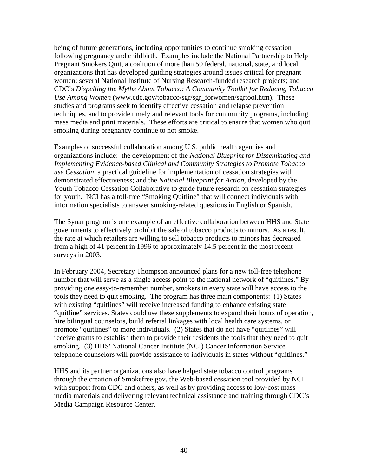being of future generations, including opportunities to continue smoking cessation following pregnancy and childbirth. Examples include the National Partnership to Help Pregnant Smokers Quit, a coalition of more than 50 federal, national, state, and local organizations that has developed guiding strategies around issues critical for pregnant women; several National Institute of Nursing Research-funded research projects; and CDC's *Dispelling the Myths About Tobacco: A Community Toolkit for Reducing Tobacco Use Among Women* (www.cdc.gov/tobacco/sgr/sgr\_forwomen/sgrtool.htm). These studies and programs seek to identify effective cessation and relapse prevention techniques, and to provide timely and relevant tools for community programs, including mass media and print materials. These efforts are critical to ensure that women who quit smoking during pregnancy continue to not smoke.

Examples of successful collaboration among U.S. public health agencies and organizations include: the development of the *National Blueprint for Disseminating and Implementing Evidence-based Clinical and Community Strategies to Promote Tobacco use Cessation,* a practical guideline for implementation of cessation strategies with demonstrated effectiveness; and the *National Blueprint for Action,* developed by the Youth Tobacco Cessation Collaborative to guide future research on cessation strategies for youth. NCI has a toll-free "Smoking Quitline" that will connect individuals with information specialists to answer smoking-related questions in English or Spanish.

The Synar program is one example of an effective collaboration between HHS and State governments to effectively prohibit the sale of tobacco products to minors. As a result, the rate at which retailers are willing to sell tobacco products to minors has decreased from a high of 41 percent in 1996 to approximately 14.5 percent in the most recent surveys in 2003.

In February 2004, Secretary Thompson announced plans for a new toll-free telephone number that will serve as a single access point to the national network of "quitlines." By providing one easy-to-remember number, smokers in every state will have access to the tools they need to quit smoking. The program has three main components: (1) States with existing "quitlines" will receive increased funding to enhance existing state "quitline" services. States could use these supplements to expand their hours of operation, hire bilingual counselors, build referral linkages with local health care systems, or promote "quitlines" to more individuals. (2) States that do not have "quitlines" will receive grants to establish them to provide their residents the tools that they need to quit smoking. (3) HHS' National Cancer Institute (NCI) Cancer Information Service telephone counselors will provide assistance to individuals in states without "quitlines."

HHS and its partner organizations also have helped state tobacco control programs through the creation of Smokefree.gov, the Web-based cessation tool provided by NCI with support from CDC and others, as well as by providing access to low-cost mass media materials and delivering relevant technical assistance and training through CDC's Media Campaign Resource Center.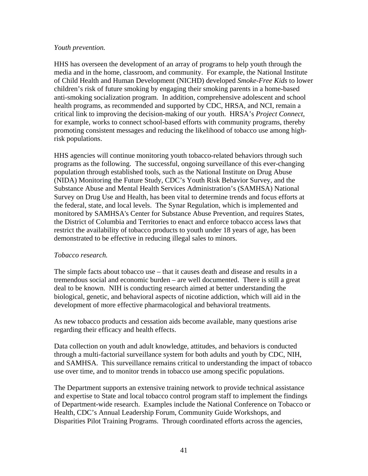#### *Youth prevention.*

HHS has overseen the development of an array of programs to help youth through the media and in the home, classroom, and community. For example, the National Institute of Child Health and Human Development (NICHD) developed *Smoke-Free Kids* to lower children's risk of future smoking by engaging their smoking parents in a home-based anti-smoking socialization program. In addition, comprehensive adolescent and school health programs, as recommended and supported by CDC, HRSA, and NCI, remain a critical link to improving the decision-making of our youth. HRSA's *Project Connect*, for example, works to connect school-based efforts with community programs, thereby promoting consistent messages and reducing the likelihood of tobacco use among highrisk populations.

HHS agencies will continue monitoring youth tobacco-related behaviors through such programs as the following. The successful, ongoing surveillance of this ever-changing population through established tools, such as the National Institute on Drug Abuse (NIDA) Monitoring the Future Study, CDC's Youth Risk Behavior Survey, and the Substance Abuse and Mental Health Services Administration's (SAMHSA) National Survey on Drug Use and Health, has been vital to determine trends and focus efforts at the federal, state, and local levels. The Synar Regulation, which is implemented and monitored by SAMHSA's Center for Substance Abuse Prevention, and requires States, the District of Columbia and Territories to enact and enforce tobacco access laws that restrict the availability of tobacco products to youth under 18 years of age, has been demonstrated to be effective in reducing illegal sales to minors.

#### *Tobacco research.*

The simple facts about tobacco use – that it causes death and disease and results in a tremendous social and economic burden – are well documented. There is still a great deal to be known. NIH is conducting research aimed at better understanding the biological, genetic, and behavioral aspects of nicotine addiction, which will aid in the development of more effective pharmacological and behavioral treatments.

As new tobacco products and cessation aids become available, many questions arise regarding their efficacy and health effects.

Data collection on youth and adult knowledge, attitudes, and behaviors is conducted through a multi-factorial surveillance system for both adults and youth by CDC, NIH, and SAMHSA. This surveillance remains critical to understanding the impact of tobacco use over time, and to monitor trends in tobacco use among specific populations.

The Department supports an extensive training network to provide technical assistance and expertise to State and local tobacco control program staff to implement the findings of Department-wide research. Examples include the National Conference on Tobacco or Health, CDC's Annual Leadership Forum, Community Guide Workshops, and Disparities Pilot Training Programs. Through coordinated efforts across the agencies,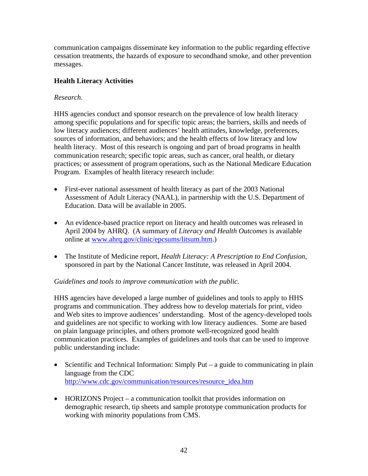communication campaigns disseminate key information to the public regarding effective cessation treatments, the hazards of exposure to secondhand smoke, and other prevention messages.

## **Health Literacy Activities**

## *Research.*

HHS agencies conduct and sponsor research on the prevalence of low health literacy among specific populations and for specific topic areas; the barriers, skills and needs of low literacy audiences; different audiences' health attitudes, knowledge, preferences, sources of information, and behaviors; and the health effects of low literacy and low health literacy. Most of this research is ongoing and part of broad programs in health communication research; specific topic areas, such as cancer, oral health, or dietary practices; or assessment of program operations, such as the National Medicare Education Program. Examples of health literacy research include:

- First-ever national assessment of health literacy as part of the 2003 National Assessment of Adult Literacy (NAAL), in partnership with the U.S. Department of Education. Data will be available in 2005.
- An evidence-based practice report on literacy and health outcomes was released in April 2004 by AHRQ. (A summary of *Literacy and Health Outcomes* is available online at www.ahrq.gov/clinic/epcsums/litsum.htm.)
- The Institute of Medicine report, *Health Literacy: A Prescription to End Confusion*, sponsored in part by the National Cancer Institute, was released in April 2004.

## *Guidelines and tools to improve communication with the public.*

HHS agencies have developed a large number of guidelines and tools to apply to HHS programs and communication. They address how to develop materials for print, video and Web sites to improve audiences' understanding. Most of the agency-developed tools and guidelines are not specific to working with low literacy audiences. Some are based on plain language principles, and others promote well-recognized good health communication practices. Examples of guidelines and tools that can be used to improve public understanding include:

- Scientific and Technical Information: Simply Put a guide to communicating in plain language from the CDC http://www.cdc.gov/communication/resources/resource\_idea.htm
- HORIZONS Project a communication toolkit that provides information on demographic research, tip sheets and sample prototype communication products for working with minority populations from CMS.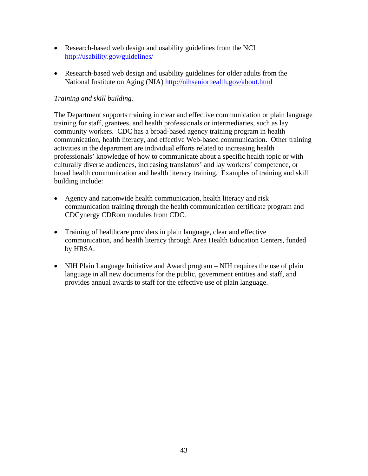- Research-based web design and usability guidelines from the NCI http://usability.gov/guidelines/
- Research-based web design and usability guidelines for older adults from the National Institute on Aging (NIA) http://nihseniorhealth.gov/about.html

## *Training and skill building.*

The Department supports training in clear and effective communication or plain language training for staff, grantees, and health professionals or intermediaries, such as lay community workers. CDC has a broad-based agency training program in health communication, health literacy, and effective Web-based communication. Other training activities in the department are individual efforts related to increasing health professionals' knowledge of how to communicate about a specific health topic or with culturally diverse audiences, increasing translators' and lay workers' competence, or broad health communication and health literacy training. Examples of training and skill building include:

- Agency and nationwide health communication, health literacy and risk communication training through the health communication certificate program and CDCynergy CDRom modules from CDC.
- Training of healthcare providers in plain language, clear and effective communication, and health literacy through Area Health Education Centers, funded by HRSA.
- NIH Plain Language Initiative and Award program NIH requires the use of plain language in all new documents for the public, government entities and staff, and provides annual awards to staff for the effective use of plain language.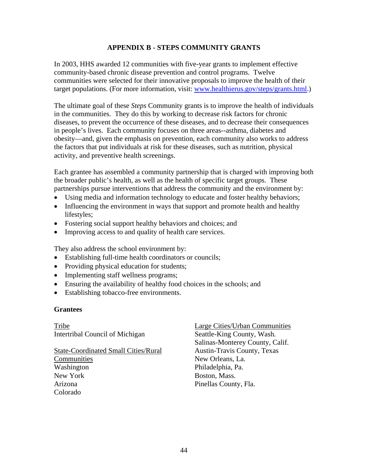## **APPENDIX B - STEPS COMMUNITY GRANTS**

In 2003, HHS awarded 12 communities with five-year grants to implement effective community-based chronic disease prevention and control programs. Twelve communities were selected for their innovative proposals to improve the health of their target populations. (For more information, visit: www.healthierus.gov/steps/grants.html.)

The ultimate goal of these *Steps* Community grants is to improve the health of individuals in the communities. They do this by working to decrease risk factors for chronic diseases, to prevent the occurrence of these diseases, and to decrease their consequences in people's lives. Each community focuses on three areas--asthma, diabetes and obesity—and, given the emphasis on prevention, each community also works to address the factors that put individuals at risk for these diseases, such as nutrition, physical activity, and preventive health screenings.

Each grantee has assembled a community partnership that is charged with improving both the broader public's health, as well as the health of specific target groups. These partnerships pursue interventions that address the community and the environment by:

- Using media and information technology to educate and foster healthy behaviors;
- Influencing the environment in ways that support and promote health and healthy lifestyles;
- Fostering social support healthy behaviors and choices; and
- Improving access to and quality of health care services.

They also address the school environment by:

- Establishing full-time health coordinators or councils;
- Providing physical education for students;
- Implementing staff wellness programs;
- Ensuring the availability of healthy food choices in the schools; and
- Establishing tobacco-free environments.

#### **Grantees**

Tribe Intertribal Council of Michigan

State-Coordinated Small Cities/Rural Communities Washington New York Arizona Colorado

Large Cities/Urban Communities Seattle-King County, Wash. Salinas-Monterey County, Calif. Austin-Travis County, Texas New Orleans, La. Philadelphia, Pa. Boston, Mass. Pinellas County, Fla.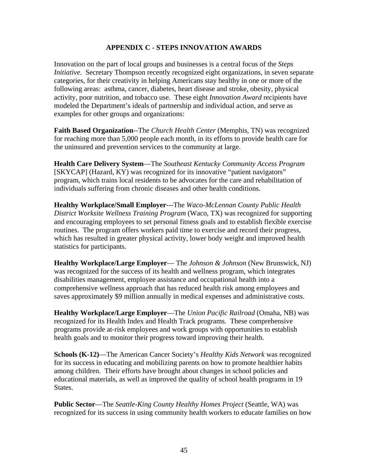#### **APPENDIX C - STEPS INNOVATION AWARDS**

Innovation on the part of local groups and businesses is a central focus of the *Steps Initiative*. Secretary Thompson recently recognized eight organizations, in seven separate categories, for their creativity in helping Americans stay healthy in one or more of the following areas: asthma, cancer, diabetes, heart disease and stroke, obesity, physical activity, poor nutrition, and tobacco use. These eight *Innovation Award* recipients have modeled the Department's ideals of partnership and individual action, and serve as examples for other groups and organizations:

**Faith Based Organization**--The *Church Health Center* (Memphis, TN) was recognized for reaching more than 5,000 people each month, in its efforts to provide health care for the uninsured and prevention services to the community at large.

**Health Care Delivery System**—The *Southeast Kentucky Community Access Program* [SKYCAP] (Hazard, KY) was recognized for its innovative "patient navigators" program, which trains local residents to be advocates for the care and rehabilitation of individuals suffering from chronic diseases and other health conditions.

**Healthy Workplace/Small Employer**---The *Waco-McLennan County Public Health District Worksite Wellness Training Program* (Waco, TX) was recognized for supporting and encouraging employees to set personal fitness goals and to establish flexible exercise routines. The program offers workers paid time to exercise and record their progress, which has resulted in greater physical activity, lower body weight and improved health statistics for participants.

**Healthy Workplace/Large Employer**— The *Johnson & Johnson* (New Brunswick, NJ) was recognized for the success of its health and wellness program, which integrates disabilities management, employee assistance and occupational health into a comprehensive wellness approach that has reduced health risk among employees and saves approximately \$9 million annually in medical expenses and administrative costs.

**Healthy Workplace/Large Employer**—The *Union Pacific Railroad* (Omaha, NB) was recognized for its Health Index and Health Track programs. These comprehensive programs provide at-risk employees and work groups with opportunities to establish health goals and to monitor their progress toward improving their health.

**Schools (K-12)**—The American Cancer Society's *Healthy Kids Network* was recognized for its success in educating and mobilizing parents on how to promote healthier habits among children. Their efforts have brought about changes in school policies and educational materials, as well as improved the quality of school health programs in 19 States.

**Public Sector**—The *Seattle-King County Healthy Homes Project* (Seattle, WA) was recognized for its success in using community health workers to educate families on how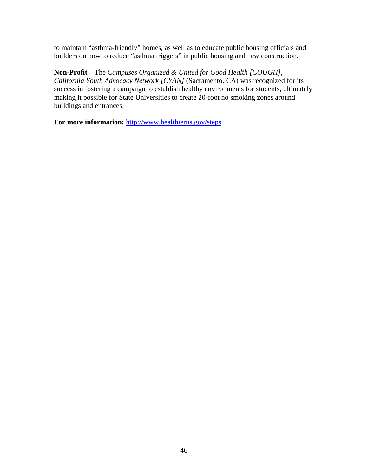to maintain "asthma-friendly" homes, as well as to educate public housing officials and builders on how to reduce "asthma triggers" in public housing and new construction.

**Non-Profit**—The *Campuses Organized & United for Good Health [COUGH], California Youth Advocacy Network [CYAN]* (Sacramento, CA) was recognized for its success in fostering a campaign to establish healthy environments for students, ultimately making it possible for State Universities to create 20-foot no smoking zones around buildings and entrances.

**For more information:** http://www.healthierus.gov/steps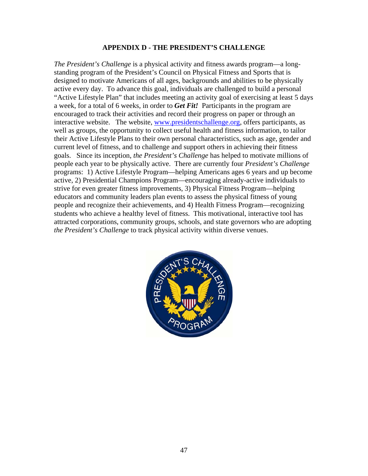#### **APPENDIX D - THE PRESIDENT'S CHALLENGE**

*The President's Challenge* is a physical activity and fitness awards program—a longstanding program of the President's Council on Physical Fitness and Sports that is designed to motivate Americans of all ages, backgrounds and abilities to be physically active every day. To advance this goal, individuals are challenged to build a personal "Active Lifestyle Plan" that includes meeting an activity goal of exercising at least 5 days a week, for a total of 6 weeks, in order to *Get Fit!* Participants in the program are encouraged to track their activities and record their progress on paper or through an interactive website. The website, www.presidentschallenge.org, offers participants, as well as groups, the opportunity to collect useful health and fitness information, to tailor their Active Lifestyle Plans to their own personal characteristics, such as age, gender and current level of fitness, and to challenge and support others in achieving their fitness goals. Since its inception, *the President's Challenge* has helped to motivate millions of people each year to be physically active. There are currently four *President's Challenge* programs: 1) Active Lifestyle Program—helping Americans ages 6 years and up become active, 2) Presidential Champions Program—encouraging already-active individuals to strive for even greater fitness improvements, 3) Physical Fitness Program—helping educators and community leaders plan events to assess the physical fitness of young people and recognize their achievements, and 4) Health Fitness Program—recognizing students who achieve a healthy level of fitness. This motivational, interactive tool has attracted corporations, community groups, schools, and state governors who are adopting *the President's Challenge* to track physical activity within diverse venues.

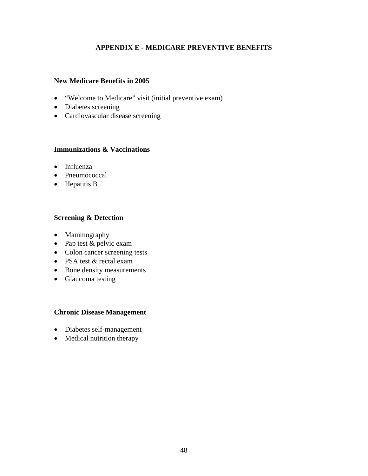## **APPENDIX E - MEDICARE PREVENTIVE BENEFITS**

#### **New Medicare Benefits in 2005**

- "Welcome to Medicare" visit (initial preventive exam)
- Diabetes screening
- Cardiovascular disease screening

## **Immunizations & Vaccinations**

- Influenza
- Pneumococcal
- Hepatitis B

#### **Screening & Detection**

- Mammography
- Pap test & pelvic exam
- Colon cancer screening tests
- PSA test & rectal exam
- Bone density measurements
- Glaucoma testing

#### **Chronic Disease Management**

- Diabetes self-management
- Medical nutrition therapy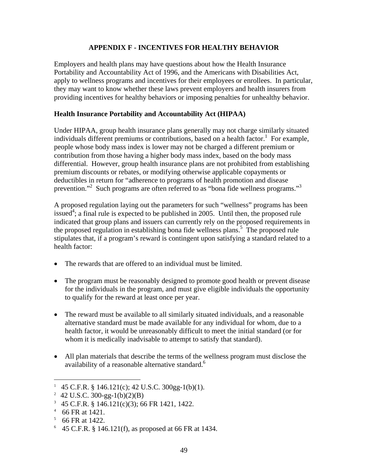## **APPENDIX F - INCENTIVES FOR HEALTHY BEHAVIOR**

Employers and health plans may have questions about how the Health Insurance Portability and Accountability Act of 1996, and the Americans with Disabilities Act, apply to wellness programs and incentives for their employees or enrollees. In particular, they may want to know whether these laws prevent employers and health insurers from providing incentives for healthy behaviors or imposing penalties for unhealthy behavior.

#### **Health Insurance Portability and Accountability Act (HIPAA)**

Under HIPAA, group health insurance plans generally may not charge similarly situated individuals different premiums or contributions, based on a health factor.<sup>1</sup> For example, people whose body mass index is lower may not be charged a different premium or contribution from those having a higher body mass index, based on the body mass differential. However, group health insurance plans are not prohibited from establishing premium discounts or rebates, or modifying otherwise applicable copayments or deductibles in return for "adherence to programs of health promotion and disease prevention."<sup>2</sup> Such programs are often referred to as "bona fide wellness programs."<sup>3</sup>

A proposed regulation laying out the parameters for such "wellness" programs has been issued<sup>4</sup>; a final rule is expected to be published in 2005. Until then, the proposed rule indicated that group plans and issuers can currently rely on the proposed requirements in the proposed regulation in establishing bona fide wellness plans.<sup>5</sup> The proposed rule stipulates that, if a program's reward is contingent upon satisfying a standard related to a health factor:

- The rewards that are offered to an individual must be limited.
- The program must be reasonably designed to promote good health or prevent disease for the individuals in the program, and must give eligible individuals the opportunity to qualify for the reward at least once per year.
- The reward must be available to all similarly situated individuals, and a reasonable alternative standard must be made available for any individual for whom, due to a health factor, it would be unreasonably difficult to meet the initial standard (or for whom it is medically inadvisable to attempt to satisfy that standard).
- All plan materials that describe the terms of the wellness program must disclose the availability of a reasonable alternative standard.<sup>6</sup>

<u>.</u>

<sup>&</sup>lt;sup>1</sup> 45 C.F.R. § 146.121(c); 42 U.S.C. 300gg-1(b)(1).

<sup>&</sup>lt;sup>2</sup> 42 U.S.C. 300-gg-1(b)(2)(B)

 $45$  C.F.R. § 146.121(c)(3); 66 FR 1421, 1422.

<sup>4</sup> 66 FR at 1421.

 $5\,$  66 FR at 1422.

 $6\,$  45 C.F.R. § 146.121(f), as proposed at 66 FR at 1434.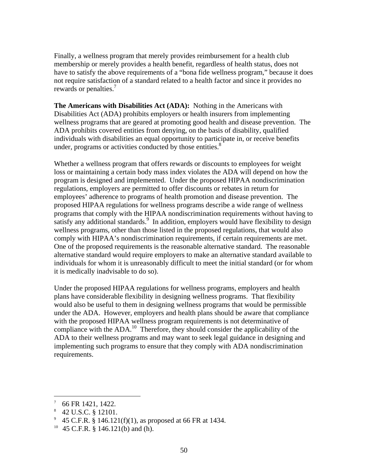Finally, a wellness program that merely provides reimbursement for a health club membership or merely provides a health benefit, regardless of health status, does not have to satisfy the above requirements of a "bona fide wellness program," because it does not require satisfaction of a standard related to a health factor and since it provides no rewards or penalties.<sup>7</sup>

**The Americans with Disabilities Act (ADA):** Nothing in the Americans with Disabilities Act (ADA) prohibits employers or health insurers from implementing wellness programs that are geared at promoting good health and disease prevention. The ADA prohibits covered entities from denying, on the basis of disability, qualified individuals with disabilities an equal opportunity to participate in, or receive benefits under, programs or activities conducted by those entities. $8<sup>8</sup>$ 

Whether a wellness program that offers rewards or discounts to employees for weight loss or maintaining a certain body mass index violates the ADA will depend on how the program is designed and implemented. Under the proposed HIPAA nondiscrimination regulations, employers are permitted to offer discounts or rebates in return for employees' adherence to programs of health promotion and disease prevention. The proposed HIPAA regulations for wellness programs describe a wide range of wellness programs that comply with the HIPAA nondiscrimination requirements without having to satisfy any additional standards.<sup>9</sup> In addition, employers would have flexibility to design wellness programs, other than those listed in the proposed regulations, that would also comply with HIPAA's nondiscrimination requirements, if certain requirements are met. One of the proposed requirements is the reasonable alternative standard. The reasonable alternative standard would require employers to make an alternative standard available to individuals for whom it is unreasonably difficult to meet the initial standard (or for whom it is medically inadvisable to do so).

Under the proposed HIPAA regulations for wellness programs, employers and health plans have considerable flexibility in designing wellness programs. That flexibility would also be useful to them in designing wellness programs that would be permissible under the ADA. However, employers and health plans should be aware that compliance with the proposed HIPAA wellness program requirements is not determinative of compliance with the ADA.<sup>10</sup> Therefore, they should consider the applicability of the ADA to their wellness programs and may want to seek legal guidance in designing and implementing such programs to ensure that they comply with ADA nondiscrimination requirements.

 $\overline{a}$ 

<sup>7</sup> 66 FR 1421, 1422.

<sup>8</sup> 42 U.S.C. § 12101.

 $9\,$  45 C.F.R. § 146.121(f)(1), as proposed at 66 FR at 1434.

<sup>10 45</sup> C.F.R. § 146.121(b) and (h).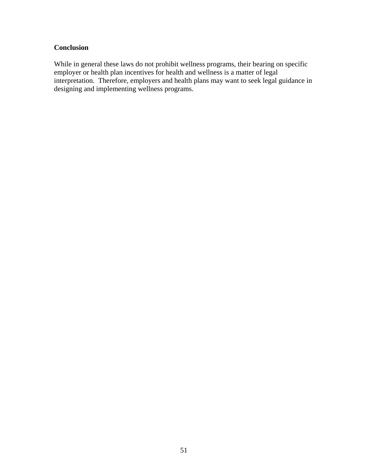## **Conclusion**

While in general these laws do not prohibit wellness programs, their bearing on specific employer or health plan incentives for health and wellness is a matter of legal interpretation. Therefore, employers and health plans may want to seek legal guidance in designing and implementing wellness programs.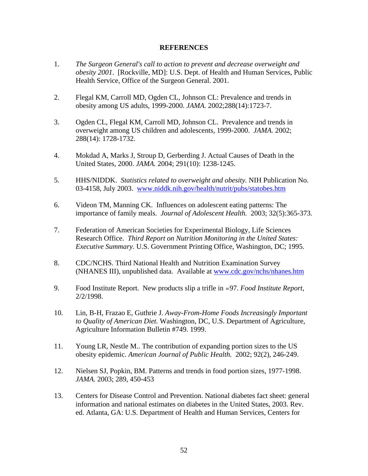#### **REFERENCES**

- 1. *The Surgeon General's call to action to prevent and decrease overweight and obesity 2001*. [Rockville, MD]: U.S. Dept. of Health and Human Services, Public Health Service, Office of the Surgeon General. 2001.
- 2. Flegal KM, Carroll MD, Ogden CL, Johnson CL: Prevalence and trends in obesity among US adults, 1999-2000. *JAMA.* 2002;288(14):1723-7.
- 3. Ogden CL, Flegal KM, Carroll MD, Johnson CL. Prevalence and trends in overweight among US children and adolescents, 1999-2000. *JAMA.* 2002; 288(14): 1728-1732.
- 4. Mokdad A, Marks J, Stroup D, Gerberding J. Actual Causes of Death in the United States, 2000. *JAMA.* 2004; 291(10): 1238-1245.
- 5. HHS/NIDDK. *Statistics related to overweight and obesity.* NIH Publication No. 03-4158, July 2003. www.niddk.nih.gov/health/nutrit/pubs/statobes.htm
- 6. Videon TM, Manning CK. Influences on adolescent eating patterns: The importance of family meals. *Journal of Adolescent Health.* 2003; 32(5):365-373.
- 7. Federation of American Societies for Experimental Biology, Life Sciences Research Office. *Third Report on Nutrition Monitoring in the United States: Executive Summary.* U.S. Government Printing Office, Washington, DC; 1995.
- 8. CDC/NCHS. Third National Health and Nutrition Examination Survey (NHANES III), unpublished data. Available at www.cdc.gov/nchs/nhanes.htm
- 9. Food Institute Report. New products slip a trifle in =97. *Food Institute Report*, 2/2/1998.
- 10. Lin, B-H, Frazao E, Guthrie J. *Away-From-Home Foods Increasingly Important to Quality of American Diet.* Washington, DC, U.S. Department of Agriculture, Agriculture Information Bulletin #749. 1999.
- 11. Young LR, Nestle M.. The contribution of expanding portion sizes to the US obesity epidemic. *American Journal of Public Health.* 2002; 92(2), 246-249.
- 12. Nielsen SJ, Popkin, BM. Patterns and trends in food portion sizes, 1977-1998. *JAMA.* 2003; 289, 450-453
- 13. Centers for Disease Control and Prevention. National diabetes fact sheet: general information and national estimates on diabetes in the United States, 2003. Rev. ed. Atlanta, GA: U.S. Department of Health and Human Services, Centers for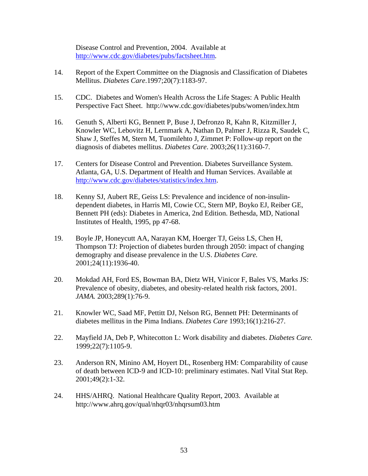Disease Control and Prevention, 2004. Available at http://www.cdc.gov/diabetes/pubs/factsheet.htm.

- 14. Report of the Expert Committee on the Diagnosis and Classification of Diabetes Mellitus. *Diabetes Care*.1997;20(7):1183-97.
- 15. CDC. Diabetes and Women's Health Across the Life Stages: A Public Health Perspective Fact Sheet. http://www.cdc.gov/diabetes/pubs/women/index.htm
- 16. Genuth S, Alberti KG, Bennett P, Buse J, Defronzo R, Kahn R, Kitzmiller J, Knowler WC, Lebovitz H, Lernmark A, Nathan D, Palmer J, Rizza R, Saudek C, Shaw J, Steffes M, Stern M, Tuomilehto J, Zimmet P: Follow-up report on the diagnosis of diabetes mellitus. *Diabetes Care*. 2003;26(11):3160-7.
- 17. Centers for Disease Control and Prevention. Diabetes Surveillance System. Atlanta, GA, U.S. Department of Health and Human Services. Available at http://www.cdc.gov/diabetes/statistics/index.htm.
- 18. Kenny SJ, Aubert RE, Geiss LS: Prevalence and incidence of non-insulindependent diabetes, in Harris MI, Cowie CC, Stern MP, Boyko EJ, Reiber GE, Bennett PH (eds): Diabetes in America, 2nd Edition. Bethesda, MD, National Institutes of Health, 1995, pp 47-68.
- 19. Boyle JP, Honeycutt AA, Narayan KM, Hoerger TJ, Geiss LS, Chen H, Thompson TJ: Projection of diabetes burden through 2050: impact of changing demography and disease prevalence in the U.S. *Diabetes Care.*  2001;24(11):1936-40.
- 20. Mokdad AH, Ford ES, Bowman BA, Dietz WH, Vinicor F, Bales VS, Marks JS: Prevalence of obesity, diabetes, and obesity-related health risk factors, 2001. *JAMA.* 2003;289(1):76-9.
- 21. Knowler WC, Saad MF, Pettitt DJ, Nelson RG, Bennett PH: Determinants of diabetes mellitus in the Pima Indians. *Diabetes Care* 1993;16(1):216-27.
- 22. Mayfield JA, Deb P, Whitecotton L: Work disability and diabetes. *Diabetes Care.* 1999;22(7):1105-9.
- 23. Anderson RN, Minino AM, Hoyert DL, Rosenberg HM: Comparability of cause of death between ICD-9 and ICD-10: preliminary estimates. Natl Vital Stat Rep. 2001;49(2):1-32.
- 24. HHS/AHRQ. National Healthcare Quality Report, 2003. Available at http://www.ahrq.gov/qual/nhqr03/nhqrsum03.htm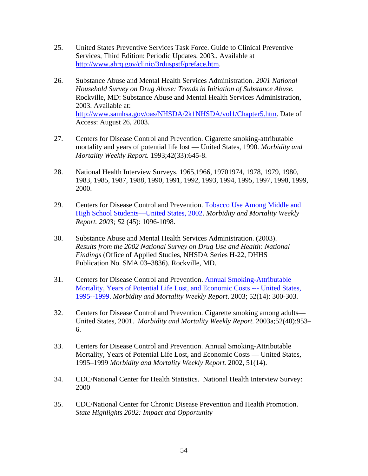- 25. United States Preventive Services Task Force. Guide to Clinical Preventive Services, Third Edition: Periodic Updates, 2003., Available at http://www.ahrq.gov/clinic/3rduspstf/preface.htm.
- 26. Substance Abuse and Mental Health Services Administration. *2001 National Household Survey on Drug Abuse: Trends in Initiation of Substance Abuse.* Rockville, MD: Substance Abuse and Mental Health Services Administration, 2003. Available at: http://www.samhsa.gov/oas/NHSDA/2k1NHSDA/vol1/Chapter5.htm. Date of Access: August 26, 2003.
- 27. Centers for Disease Control and Prevention. Cigarette smoking-attributable mortality and years of potential life lost — United States, 1990. *Morbidity and Mortality Weekly Report.* 1993;42(33):645-8.
- 28. National Health Interview Surveys, 1965,1966, 19701974, 1978, 1979, 1980, 1983, 1985, 1987, 1988, 1990, 1991, 1992, 1993, 1994, 1995, 1997, 1998, 1999, 2000.
- 29. Centers for Disease Control and Prevention. Tobacco Use Among Middle and High School Students—United States, 2002. *Morbidity and Mortality Weekly Report. 2003; 5*2 (45): 1096-1098.
- 30. Substance Abuse and Mental Health Services Administration. (2003). *Results from the 2002 National Survey on Drug Use and Health: National Findings* (Office of Applied Studies, NHSDA Series H-22, DHHS Publication No. SMA 03–3836). Rockville, MD.
- 31. Centers for Disease Control and Prevention. Annual Smoking-Attributable Mortality, Years of Potential Life Lost, and Economic Costs --- United States, 1995--1999. *Morbidity and Mortality Weekly Report*. 2003; 52(14): 300-303.
- 32. Centers for Disease Control and Prevention. Cigarette smoking among adults— United States, 2001. *Morbidity and Mortality Weekly Report.* 2003a;52(40):953– 6.
- 33. Centers for Disease Control and Prevention. Annual Smoking-Attributable Mortality, Years of Potential Life Lost, and Economic Costs — United States, 1995–1999 *Morbidity and Mortality Weekly Report.* 2002, 51(14).
- 34. CDC/National Center for Health Statistics. National Health Interview Survey: 2000
- 35. CDC/National Center for Chronic Disease Prevention and Health Promotion. *State Highlights 2002: Impact and Opportunity*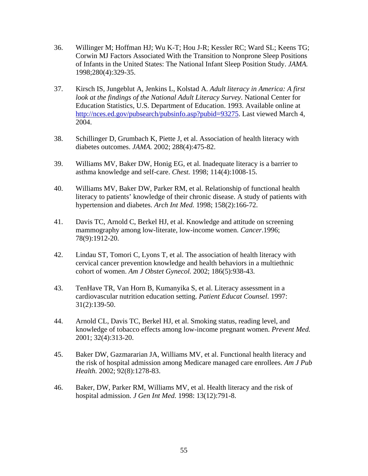- 36. Willinger M; Hoffman HJ; Wu K-T; Hou J-R; Kessler RC; Ward SL; Keens TG; Corwin MJ Factors Associated With the Transition to Nonprone Sleep Positions of Infants in the United States: The National Infant Sleep Position Study. *JAMA.* 1998;280(4):329-35.
- 37. Kirsch IS, Jungeblut A, Jenkins L, Kolstad A. *Adult literacy in America: A first look at the findings of the National Adult Literacy Survey*. National Center for Education Statistics, U.S. Department of Education. 1993. Available online at http://nces.ed.gov/pubsearch/pubsinfo.asp?pubid=93275. Last viewed March 4, 2004.
- 38. Schillinger D, Grumbach K, Piette J, et al. Association of health literacy with diabetes outcomes. *JAMA.* 2002; 288(4):475-82.
- 39. Williams MV, Baker DW, Honig EG, et al. Inadequate literacy is a barrier to asthma knowledge and self-care. *Chest.* 1998; 114(4):1008-15.
- 40. Williams MV, Baker DW, Parker RM, et al. Relationship of functional health literacy to patients' knowledge of their chronic disease. A study of patients with hypertension and diabetes. *Arch Int Med.* 1998; 158(2):166-72.
- 41. Davis TC, Arnold C, Berkel HJ, et al. Knowledge and attitude on screening mammography among low-literate, low-income women. *Cancer*.1996; 78(9):1912-20.
- 42. Lindau ST, Tomori C, Lyons T, et al. The association of health literacy with cervical cancer prevention knowledge and health behaviors in a multiethnic cohort of women. *Am J Obstet Gynecol.* 2002; 186(5):938-43.
- 43. TenHave TR, Van Horn B, Kumanyika S, et al. Literacy assessment in a cardiovascular nutrition education setting. *Patient Educat Counsel.* 1997: 31(2):139-50.
- 44. Arnold CL, Davis TC, Berkel HJ, et al. Smoking status, reading level, and knowledge of tobacco effects among low-income pregnant women. *Prevent Med.* 2001; 32(4):313-20.
- 45. Baker DW, Gazmararian JA, Williams MV, et al. Functional health literacy and the risk of hospital admission among Medicare managed care enrollees. *Am J Pub Health.* 2002; 92(8):1278-83.
- 46. Baker, DW, Parker RM, Williams MV, et al. Health literacy and the risk of hospital admission. *J Gen Int Med.* 1998: 13(12):791-8.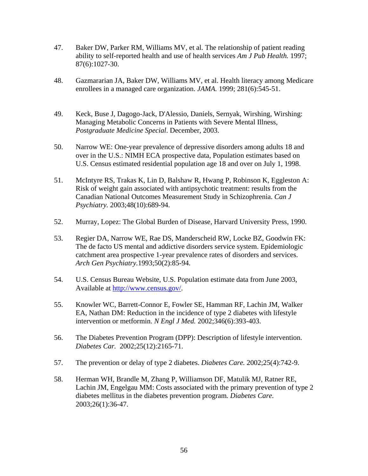- 47. Baker DW, Parker RM, Williams MV, et al. The relationship of patient reading ability to self-reported health and use of health services *Am J Pub Health.* 1997; 87(6):1027-30.
- 48. Gazmararian JA, Baker DW, Williams MV, et al. Health literacy among Medicare enrollees in a managed care organization. *JAMA.* 1999; 281(6):545-51.
- 49. Keck, Buse J, Dagogo-Jack, D'Alessio, Daniels, Sernyak, Wirshing, Wirshing: Managing Metabolic Concerns in Patients with Severe Mental Illness, *Postgraduate Medicine Special*. December, 2003.
- 50. Narrow WE: One-year prevalence of depressive disorders among adults 18 and over in the U.S.: NIMH ECA prospective data, Population estimates based on U.S. Census estimated residential population age 18 and over on July 1, 1998.
- 51. McIntyre RS, Trakas K, Lin D, Balshaw R, Hwang P, Robinson K, Eggleston A: Risk of weight gain associated with antipsychotic treatment: results from the Canadian National Outcomes Measurement Study in Schizophrenia. *Can J Psychiatry.* 2003;48(10):689-94.
- 52. Murray, Lopez: The Global Burden of Disease, Harvard University Press, 1990.
- 53. Regier DA, Narrow WE, Rae DS, Manderscheid RW, Locke BZ, Goodwin FK: The de facto US mental and addictive disorders service system. Epidemiologic catchment area prospective 1-year prevalence rates of disorders and services. *Arch Gen Psychiatry.*1993;50(2):85-94.
- 54. U.S. Census Bureau Website, U.S. Population estimate data from June 2003, Available at http://www.census.gov/.
- 55. Knowler WC, Barrett-Connor E, Fowler SE, Hamman RF, Lachin JM, Walker EA, Nathan DM: Reduction in the incidence of type 2 diabetes with lifestyle intervention or metformin. *N Engl J Med.* 2002;346(6):393-403.
- 56. The Diabetes Prevention Program (DPP): Description of lifestyle intervention. *Diabetes Car.* 2002;25(12):2165-71.
- 57. The prevention or delay of type 2 diabetes. *Diabetes Care.* 2002;25(4):742-9.
- 58. Herman WH, Brandle M, Zhang P, Williamson DF, Matulik MJ, Ratner RE, Lachin JM, Engelgau MM: Costs associated with the primary prevention of type 2 diabetes mellitus in the diabetes prevention program*. Diabetes Care.*  2003;26(1):36-47.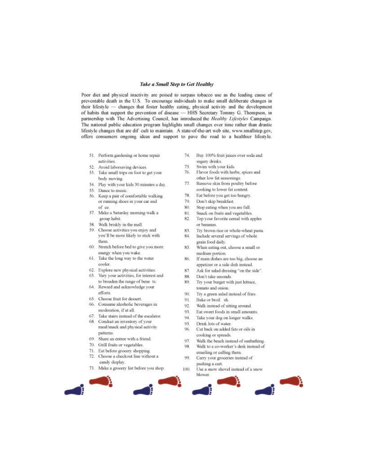#### **Take a Small Step to Get Healthy**

Poor diet and physical inactivity are poised to surpass tobacco use as the leading cause of preventable death in the U.S. To encourage individuals to make small deliberate changes in their lifestyle - changes that foster healthy eating, physical activity and the development of habits that support the prevention of disease - HHS Secretary Tommy G. Thompson, in partnership with The Advertising Council, has introduced the Healthy Lifestyles Campaign. The national public education program highlights small changes over time rather than drastic lifestyle changes that are dif cult to maintain. A state-of-the-art web site, www.smallstep.gov, offers consumers ongoing ideas and support to pave the road to a healthier lifestyle.

- 51. Perform gardening or home repair activities
- 52. Avoid laborsaving devices.
- 53. Take small trips on foot to get your body moving
- 54. Play with your kids 30 minutes a day.
- 55. Dance to music.
- 56. Keep a pair of comfortable walking or running shoes in your car and of ce.
- 57. Make a Saturday morning walk a group habit
- 58. Walk briskly in the mall.
- 59. Choose activities you enjoy and you'll be more likely to stick with them.
- 60. Stretch before bed to give you more energy when you wake.
- 61. Take the long way to the water cooler.
- 62. Explore new physical activities.
- Vary your activities, for interest and 63. to broaden the range of bene ts.
- 64. Reward and acknowledge your efforts.
- 65. Choose fruit for dessert.
- Consume alcoholic beverages in 66. moderation, if at all.
- 67. Take stairs instead of the escalator.
- 68. Conduct an inventory of your
- meal/snack and physical activity patterns. 69. Share an entree with a friend.
- 
- 70. Grill fruits or vegetables. 71. Eat before grocery shopping.
- 72. Choose a checkout line without a candy display.
- 73. Make a grocery list before you shop.
- Buy 100% fruit juices over soda and 74. sugary drinks.
- 75 Swim with your kids.
- Flavor foods with herbs, spices and 76. other low fat seasonings.
- 77. Remove skin from poultry before cooking to lower fat content.
- 78 Eat before you get too hungry.
- Don't skip breakfast. 79.
- 80. Stop eating when you are full.
- 81. Snack on fruits and vegetables.
- Top your favorite cereal with apples 82. or bananas.
- $83$ Try brown rice or whole-wheat pasta.
- Include several servings of whole 84. grain food daily.
- 85. When eating out, choose a small or medium portion.
- If main dishes are too big, choose an 86. appetizer or a side dish instead.
- 87 Ask for salad dressing "on the side".
- 88 Don't take seconds.
- Try your burger with just lettuce, 89. tomato and onion.
- 90. Try a green salad instead of fries.
- 91. Bake or broil sh
- 92. Walk instead of sitting around.
- 93. Eat sweet foods in small amounts.
- 94. Take your dog on longer walks.
- 95. Drink lots of water.
- 96. Cut back on added fats or oils in cooking or spreads.
- Walk the beach instead of sunbathing. 97 98 Walk to a co-worker's desk instead of
- emailing or calling them. 99. Carry your groceries instead of pushing a cart.
- 100. Use a snow shovel instead of a snow blower.